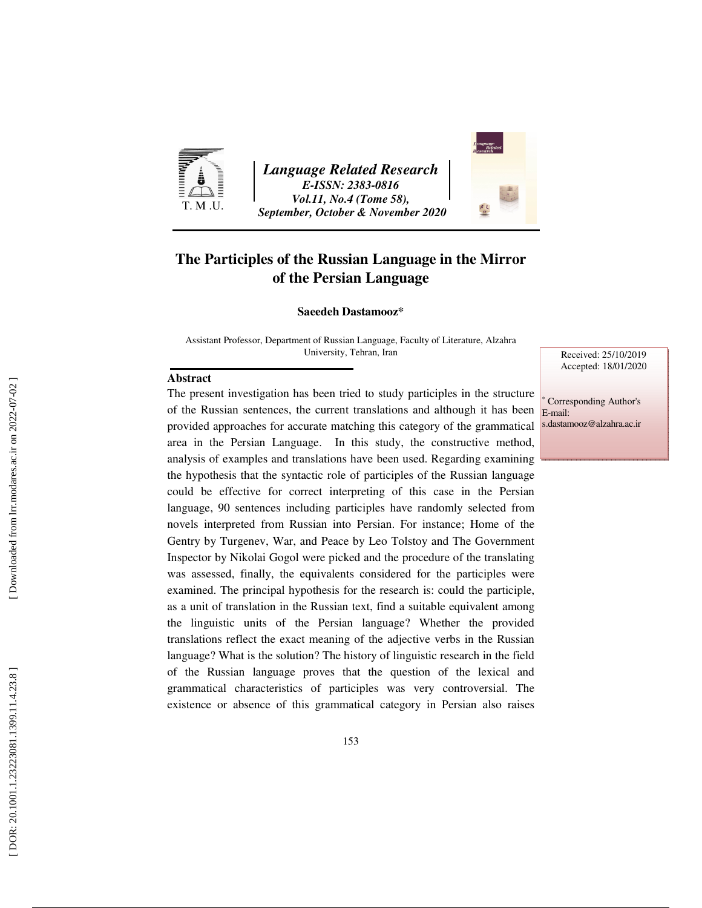

*Language Related Research E-ISSN: 2383-0816 Vol.11, No.4 (Tome 58), September, October & November 2020* 



### **The Participles of the Russian Language in the Mirror of the Persian Language**

#### **Saeedeh Dastamooz\***

Assistant Professor, Department of Russian Language, Faculty of Literature, Alzahra University, Tehran, Iran

#### **Abstract**

The present investigation has been tried to study participles in the structure of the Russian sentences, the current translations and although it has been provided approaches for accurate matching this category of the grammatical area in the Persian Language. In this study, the constructive method, analysis of examples and translations have been used. Regarding examining the hypothesis that the syntactic role of participles of the Russian language could be effective for correct interpreting of this case in the Persian language, 90 sentences including participles have randomly selected from novels interpreted from Russian into Persian. For instance; Home of the Gentry by Turgenev, War, and Peace by Leo Tolstoy and The Government Inspector by Nikolai Gogol were picked and the procedure of the translating was assessed, finally, the equivalents considered for the participles were examined. The principal hypothesis for the research is: could the participle, as a unit of translation in the Russian text, find a suitable equivalent among the linguistic units of the Persian language? Whether the provided translations reflect the exact meaning of the adjective verbs in the Russian language? What is the solution? The history of linguistic research in the field of the Russian language proves that the question of the lexical and grammatical characteristics of participles was very controversial. The existence or absence of this grammatical category in Persian also raises

Received: 25/10/2019 Accepted: 18/01/2020

∗ Corresponding Author's E-mail: s.dastamooz@alzahra.ac.ir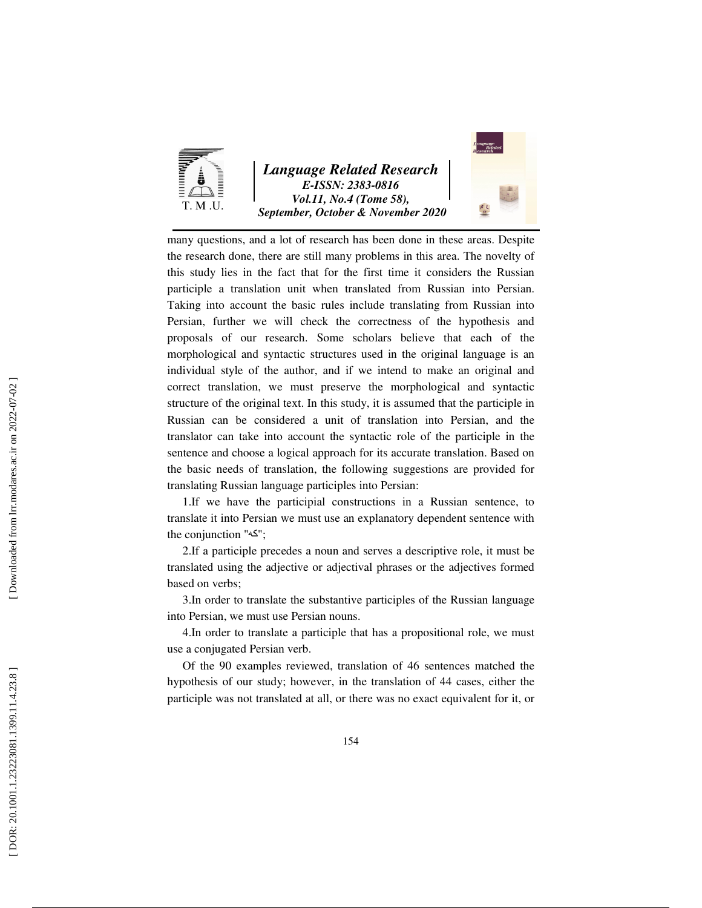

*Language Related Research E-ISSN: 2383-0816 Vol.11, No.4 (Tome 58), September, October & November 2020* 



many questions, and a lot of research has been done in these areas. Despite the research done, there are still many problems in this area. The novelty of this study lies in the fact that for the first time it considers the Russian participle a translation unit when translated from Russian into Persian. Taking into account the basic rules include translating from Russian into Persian, further we will check the correctness of the hypothesis and proposals of our research. Some scholars believe that each of the morphological and syntactic structures used in the original language is an individual style of the author, and if we intend to make an original and correct translation, we must preserve the morphological and syntactic structure of the original text. In this study, it is assumed that the participle in Russian can be considered a unit of translation into Persian, and the translator can take into account the syntactic role of the participle in the sentence and choose a logical approach for its accurate translation. Based on the basic needs of translation, the following suggestions are provided for translating Russian language participles into Persian:

1.If we have the participial constructions in a Russian sentence, to translate it into Persian we must use an explanatory dependent sentence with the conjunction "كه";

2.If a participle precedes a noun and serves a descriptive role, it must be translated using the adjective or adjectival phrases or the adjectives formed based on verbs;

3.In order to translate the substantive participles of the Russian language into Persian, we must use Persian nouns.

4.In order to translate a participle that has a propositional role, we must use a conjugated Persian verb.

Of the 90 examples reviewed, translation of 46 sentences matched the hypothesis of our study; however, in the translation of 44 cases, either the participle was not translated at all, or there was no exact equivalent for it, or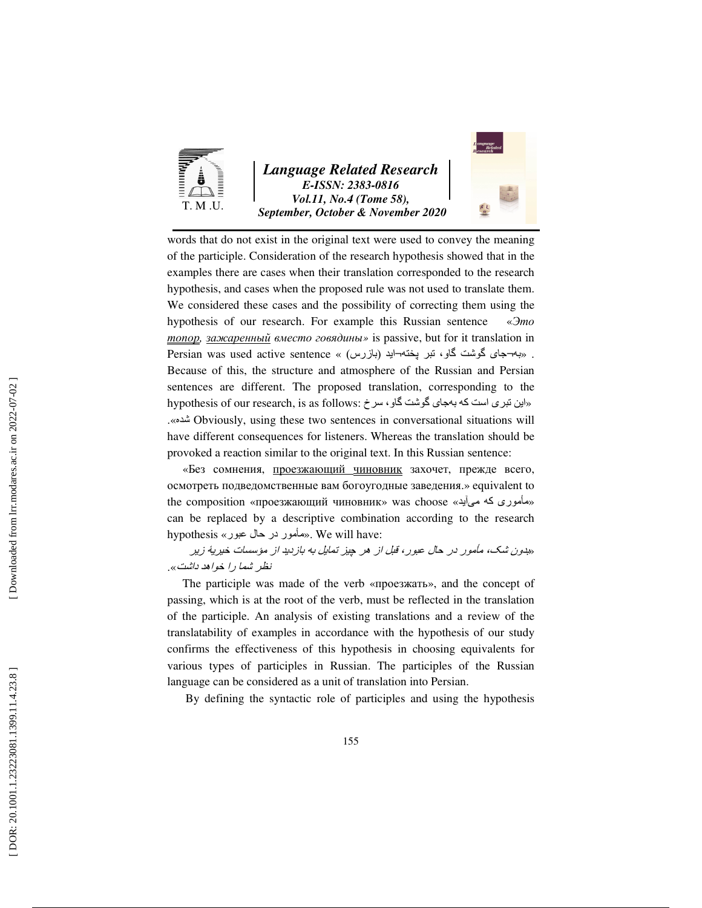

*Language Related Research E-ISSN: 2383-0816 Vol.11, No.4 (Tome 58), September, October & November 2020* 



words that do not exist in the original text were used to convey the meaning of the participle. Consideration of the research hypothesis showed that in the examples there are cases when their translation corresponded to the research hypothesis, and cases when the proposed rule was not used to translate them. We considered these cases and the possibility of correcting them using the hypothesis of our research. For example this Russian sentence «Это топор*,* зажаренный вместо говядины *»* is passive, but for it translation in . به¬جای گوشت گاو، تبر پخته¬ايد (بازرس) « » sentence active used was Persian Because of this, the structure and atmosphere of the Russian and Persian sentences are different. The proposed translation, corresponding to the hypothesis of our research, is as follows: «این تبری است که بهجای گوشت گاو، سرخ $\cdot$ .«شده Obviously, using these two sentences in conversational situations will have different consequences for listeners. Whereas the translation should be provoked a reaction similar to the original text. In this Russian sentence: «Без сомнения, проезжающий чиновник захочет, прежде всего,

осмотреть подведомственные вам богоугодные заведения.» equivalent to the composition «проезжающий чиновник» was choose «مأموری که میآید» can be replaced by a descriptive combination according to the research hypothesis «مأمور در حال عبور». We will have:

«بدون شک، مأمور در حال عبور، قبل از ھر چيز تمايل به بازديد از مؤسسات خيريۀ زير نظر شما را خواھد داشت ».

The participle was made of the verb «проезжать», and the concept of passing, which is at the root of the verb, must be reflected in the translation of the participle. An analysis of existing translations and a review of the translatability of examples in accordance with the hypothesis of our study confirms the effectiveness of this hypothesis in choosing equivalents for various types of participles in Russian. The participles of the Russian language can be considered as a unit of translation into Persian.

By defining the syntactic role of participles and using the hypothesis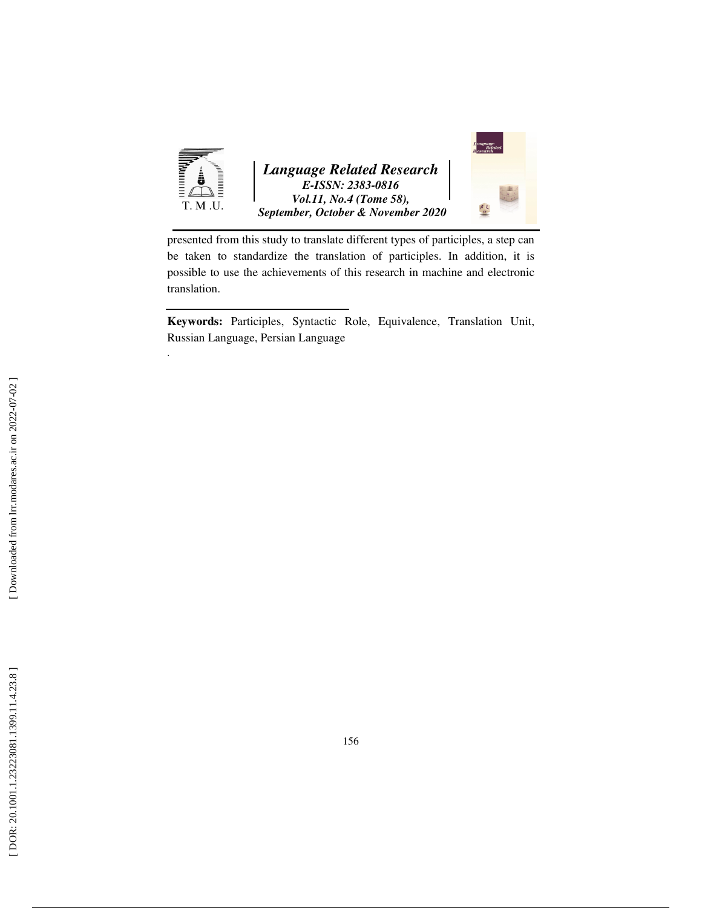

presented from this study to translate different types of participles, a step can be taken to standardize the translation of participles. In addition, it is possible to use the achievements of this research in machine and electronic translation.

**Keywords:** Participles, Syntactic Role, Equivalence, Translation Unit, Russian Language, Persian Language

.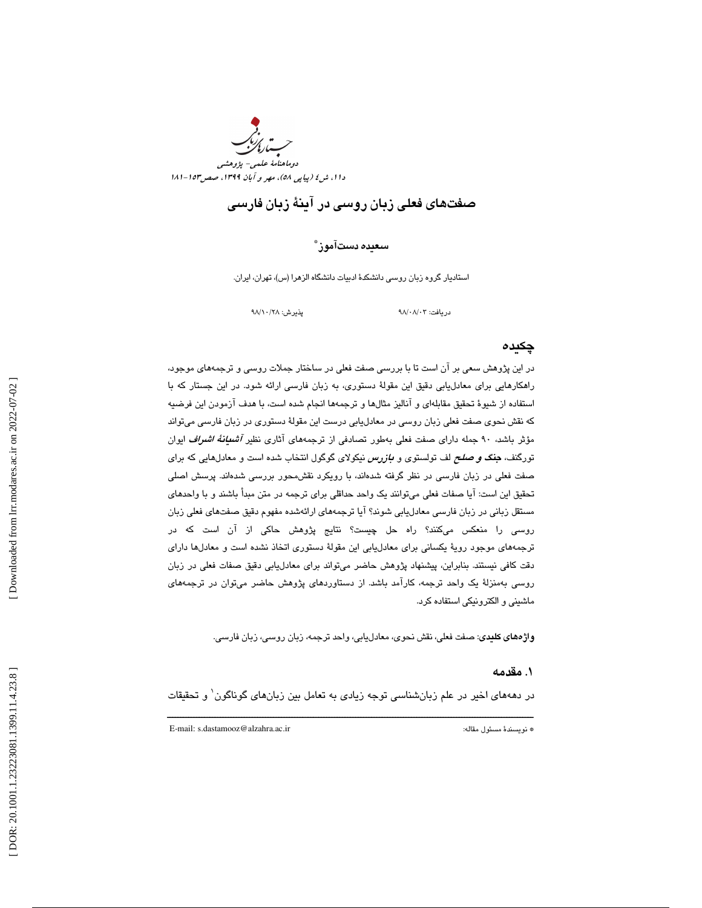

# صفتهاي فعلي زبان روسي در آينة زبان فارسي

#### سعيده دستآموز ٌ

استاديار گروه زبان روسي دانشكدة ادبيات دانشگاه الزهرا (س)، تهران، ايران.

دريافت: 03/ 08/ 98 پذيرش: 28/ 10/ 98

#### چكيده

در اين پژوهش سعي بر آن است تا با بررسي صفت فعلي در ساختار جملات روسي و ترجمههاي موجود، راهكارهايي براي معادليابي دقيق اين مقولة دستوري، به زبان فارسي ارائه شود . در اين جستار كه با استفاده از شيوة تحقيق مقابلهاي و آناليز مثالها و ترجمهها انجام شده است، با هدف آزمودن اين فرضيه كه نقش نحوي صفت فعلي زبان روسي در معادليابي درست اين مقولة دستوري در زبان فارسي ميتواند مؤثر باشد، ۹۰ جمله داراي صفت فعلي بهطور تصادفي از ترجمههاي آثاري نظير *آشىيانة اشراف ايوان* تورگنف، **جنگ** *و صلح* **ل**ف تولستوي و *بازرس* نيكولاي گوگول انتخاب شده است و معادلهايي كه براي صفت فعلي در زبان فارسي در نظر گرفته شدهاند، با رويكرد نقشمحور بررسي شدهاند. پرسش اصلي تحقيق اين است: آيا صفات فعلي ميتوانند يك واحد حداقلي براي ترجمه در متن مبدأ باشند و با واحدهاي مستقل زباني در زبان فارسي معادليابي شوند؟ آيا ترجمههاي ارائهشده مفهوم دقيق صفتهاي فعلي زبان روسي را منعكس ميكنند؟ راه حل چيست؟ نتايج پژوهش حاكي از آن است كه در ترجمههاي موجود روية يكساني براي معادليابي اين مقولة دستوري اتخاذ نشده است و معادلها داراي دقت كافي نيستند. بنابراين، پيشنهاد پژوهش حاضر ميتواند براي معادليابي دقيق صفات فعلي در زبان روسي بهمنزلهٔ يک واحد ترجمه، كارآمد باشد. از دستاوردهاي پژوهش حاضر ميتوان در ترجمههاي ماشيني و الكترونيكي استفاده كرد.

**واژههای کلیدی**: صفت فعلی، نقش نحوی، معادلیابی، واحد ترجمه، زبان روسی، زبان فارسی.

#### 1. مقدمه

ــــــــــــــــــــــــــــــــــــــــــــــــــــــــــــــــــــــــــــــــــــــــــــــــــــــــــــــــــــــــــــــــــــــــــ در دهههاي اخير در علم زبانشناسي توجه زيادي به تعامل بين زبانهاي گوناگون 1 و تحقيقات

E-mail: s.dastamooz@alzahra.ac.ir :مقاله مسئول نويسندة\*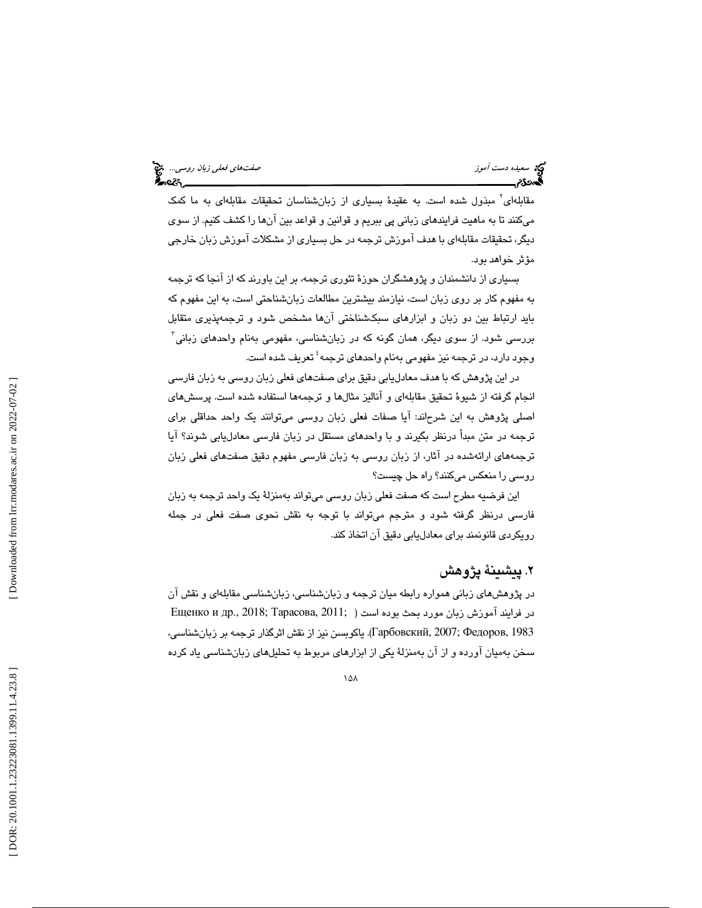مقابلهای<sup>٬</sup> مبذول شده است. به عقیدهٔ بسیاری از زبانشناسان تحقیقات مقابلهای به ما کمک ميكنند تا به ماهيت فرايندهاي زباني پي ببريم و قوانين و قواعد بين آنها را كشف كنيم. از سوي ديگر، تحقيقات مقابلهاي با هدف آموزش ترجمه در حل بسياري از مشكلات آموزش زبان خارجي مؤثر خواهد بود.

بسياري از دانشمندان و پژوهشگران حوزة تئوري ترجمه، بر اين باورند كه از آنجا كه ترجمه به مفهوم كار بر روي زبان است، نيازمند بيشترين مطالعات زبانشناحتي است، به اين مفهوم كه بايد ارتباط بين دو زبان و ابزارهاي سبكشناختي آنها مشخص شود و ترجمهپذيري متقابل بررسي شود. از سوي ديگر، همان گونه كه در زبانشناسي، مفهومي بهنام واحدهاي زباني 3 وجود دارد، در ترجمه نيز مفهومي بهنام واحدهاي ترجمه 4 تعريف شده است.

 در اين پژوهش كه با هدف معادليابي دقيق براي صفتهاي فعلي زبان روسي به زبان فارسي انجام گرفته از شيوهٔ تحقيق مقابلهاي و آناليز مثالها و ترجمهها استفاده شده است. پرسشهاي اصلي پژوهش به اين شرحاند: آيا صفات فعلي زبان روسي ميتوانند يك واحد حداقلي براي ترجمه در متن مبدأ درنظر بگيرند و با واحدهاي مستقل در زبان فارسي معادليابي شوند؟ آيا ترجمههاي ارائهشده در آثار، از زبان روسي به زبان فارسي مفهوم دقيق صفتهاي فعلي زبان روسي را منعكس ميكنند؟ راه حل چيست؟

اين فرضيه مطرح است كه صفت فعلي زبان روسي ميتواند بهمنزلة يك واحد ترجمه به زبان فارسي درنظر گرفته شود و مترجم ميتواند با توجه به نقش نحوي صفت فعلي در جمله رويكردي قانونمند براي معادليابي دقيق آن اتخاذ كند.

### 2. پيشينة پژوهش

در پژوهشهاي زباني همواره رابطه ميان ترجمه و زبانشناسي، زبانشناسي مقابلهاي و نقش آن در فرايند آموزش زبان مورد بحث بوده است ( ;Eщенко и др., 2018; Тарасова, 2011 1983 ,Федоров; 2007 ,Гарбовский . ( ياكوبسن از نيز نقش اثرگذار ترجمه بر زبانشناسي، سخن بهمیان آورده و از آن بهمنزلهٔ یکی از ابزارهای مربوط به تحلیلهای زبانشناسی یاد کرده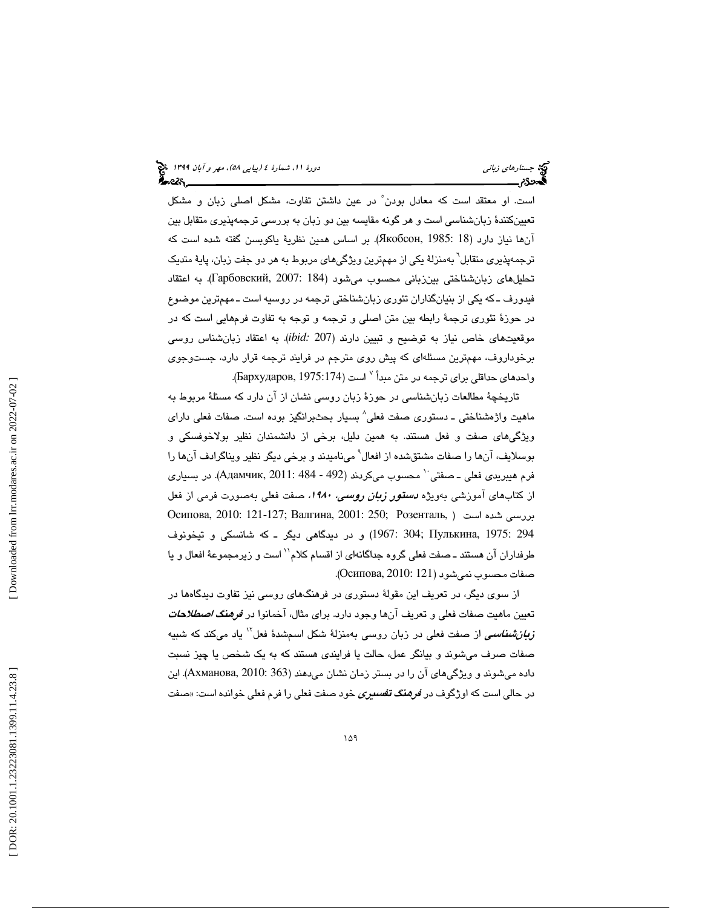است. او معتقد است كه معادل بودن ْ در عين داشتن تفاوت، مشكل اصلي زبان و مشكل تعيينكنندة زبانشناسي است و هر گونه مقايسه بين دو زبان به بررسي ترجمهپذيري متقابل بين آنها نياز دارد (18 1985 .Якобсон, بر اساس همين نظرية ياكوبسن گفته شده است كه ترجمهپذيری متقابل<sup>٦</sup> بهمنزلهٔ یکی از مهمترین ویژگیهای مربوط به هر دو جفت زبان، پایهٔ متدیک تحليلهاي زبانشناختي بينزباني محسوب ميشود ( 184 2007: ,Гарбовский(. به اعتقاد فيدورف ـ كه يكي از بنيانگذاران تئوري زبانشناختي ترجمه در روسيه است ـ مهمترين موضوع در حوزة تئوري ترجمة رابطه بين متن اصلي و ترجمه و توجه به تفاوت فرمهايي است كه در موقعيتهاي خاص نياز به توضيح و تبيين دارند ( 207 *:ibid*(. به اعتقاد زبانشناس روسي برخوداروف، مهمترين مسئلهاي كه پيش روي مترجم در فرايند ترجمه قرار دارد، جستوجوي واحدهای حداقلی برای ترجمه در متن مبدأ <sup>۷</sup> است (Бархударов, 1975:174).

تاريخچة مطالعات زبانشناسي در حوزة زبان روسي نشان از آن دارد كه مسئلة مربوط به ماهيت واژهشناختي ــ دستوری صفت فعلی^ بسيار بحثبرانگيز بوده است. صفات فعلی دارای ويژگيهاي صفت و فعل هستند. به همين دليل، برخي از دانشمندان نظير بولاخوفسكي و بوسلايف، آنها را صفات مشتقشده از افعال° مینامیدند و برخی دیگر نظیر ویناگرادف آنها را فرم هيبريدي فعلي ــ صفتي `` محسوب ميكردند ( 492 - 484 :101 .Aдамчик, 20). در بسياري از كتابهاى آموزشى بەويژه *دستقور زبان روسىي، ۱۹۸۰،* صفت فعلى بەصورت فرمى از فعل بررسي شده است ( ,Розенталь; 250 2001: ,Валгина; 121-127 2010: ,Осипова 294 1975: ,Пулькина; 304 1967: ( و در ديدگاهي ديگر ـ كه شانسكي و تيخونوف طرفداران آن هستند ـ صفت فعلی گروه جداگانهای از اقسام کلام`` است و زیرمجموعهٔ افعال و یا صفات محسوب نميشود ( 121 2010: ,Осипова(.

از سوي ديگر، در تعريف اين مقولهٔ دستوري در فرهنگهاي روسي نيز تفاوت ديدگاهها در تعيين ماهيت صفات فعلي و تعريف آنها وجود دارد. براي مثال، آخمانوا در *فرهنگ اصطلاحات* ن*ربانشناسمی* از صفت فعلی در زبان روسی بهمنزلهٔ شکل اسمشدهٔ فعل<sup>۱۷</sup> یاد میکند که شبیه صفات صرف ميشوند و بيانگر عمل، حالت يا فرايندي هستند به كه يك شخص يا چيز نسبت داده ميشوند و ويژگيهاي را آن در بستر زمان نشان ميدهند ( 363 2010: ,Ахманова(. اين در حالی است كه اوژگوف در *فرهنگ تفسیری* خود صفت فعلی را فرم فعلی خوانده است: «صفت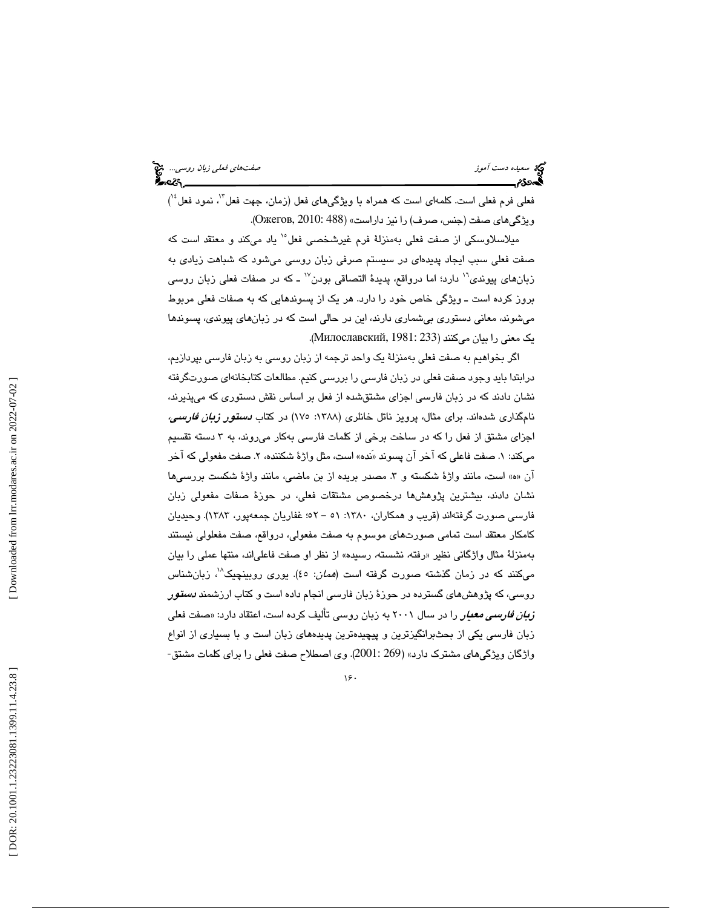فعلی فرم فعلی است. كلمهای است كه همراه با ویژگیهای فعل (زمان، جهت فعل<sup>۱٬</sup>، نمود فعل<sup>۱٬</sup>) ويژگيهاي صفت ( جنس، صرف را) نيز داراست» (488 2010: ,Ожегов( .

میلاسلاوسکی از صفت فعلی بهمنزلهٔ فرم غیرشخصی فعل°` یاد میکند و معتقد است که صفت فعلي سبب ايجاد پديده اي در سيستم صرفي زبان روسي ميشود كه شباهت زيادي به زبانهای پیوندی<sup>۱٬</sup> دارد؛ اما درواقع، پدیدهٔ التصاقی بودن<sup>۱۷</sup> ـ که در صفات فعلی زبان روسی بروز كرده است ـ ويژگي خاص خود را دارد. هر يك از پسوندهايي به كه صفات فعلي مربوط ميشوند، معاني دستوري بيشماري دارند، اين در حالي است كه در زبانهاي پيوندي، پسوندها يك معني را بيان ميكنند ( 233 1981: ,Милославский( .

اگر بخواهيم به صفت فعلي بهمنزلة يك واحد ترجمه از زبان روسي به زبان فارسي بپردازيم، درابتدا بايد وجود صفت فعلي در زبان فارسي را بررسي كنيم. مطالعات كتابخانهاي صورتگرفته نشان دادند كه در زبان فارسي اجزاي مشتقشده از فعل بر اساس نقش دستوري كه ميپذيرند، نامگذاری شدهاند. برای مثال، پرویز ناتل خانلری (۱۳۸۸: ۱۷۰) در کتاب *دستقور زبان فارسمی،* اجزاي مشتق از فعل را كه در ساخت برخي از كلمات فارسي بهكار ميروند، به 3 دسته تقسيم میكند: ١. صفت فاعلی كه آخر آن پسوند «نده» است، مثل واژهٔ شكننده، ٢. صفت مفعولی كه آخر آن «ه» است، مانند واژهٔ شكسته و ۳. مصدر بريده از بن ماضـي، مانند واژهٔ شكست بررسـيها نشان دادند، بيشترين پژوهشها درخصوص مشتقات فعلي، در حوزة صفات مفعولي زبان فارسي صورت گرفتهاند (قريب و همكاران، :1380 - 51 52؛ غفاريان جمعهپور، 1383). وحيديان كامكار معتقد است تمامي صورتهاي موسوم به صفت مفعولي، درواقع، صفت مفعلولي نيستند بهمنزلهٔ مثال واژگانی نظیر «رفته، نشسته، رسیده» از نظر او صفت فاعلیاند، منتها عملی را بیان میكنند كه در زمان گذشته صورت گرفته است (*همان*: ٤٥). یوری روبینچیک<sup>۷</sup>، زبانشناس روسي، كه پژوهشهاي گسترده در حوزة زبان فارسي انجام داده است و كتاب ارزشمند دستور ز*بان فارسی معیار* را در سال ۲۰۰۱ به زبان روسی تألیف کرده است، اعتقاد دارد: «صفت فعلی زبان فارسي يكي از بحثبرانگيزترين و پيچيدهترين پديدههاي زبان است و با بسياري از انواع واژگان ويژگيهاي مشترك دارد» (269 2001:). وي اصطلاح صفت فعلي را براي كلمات مشتق-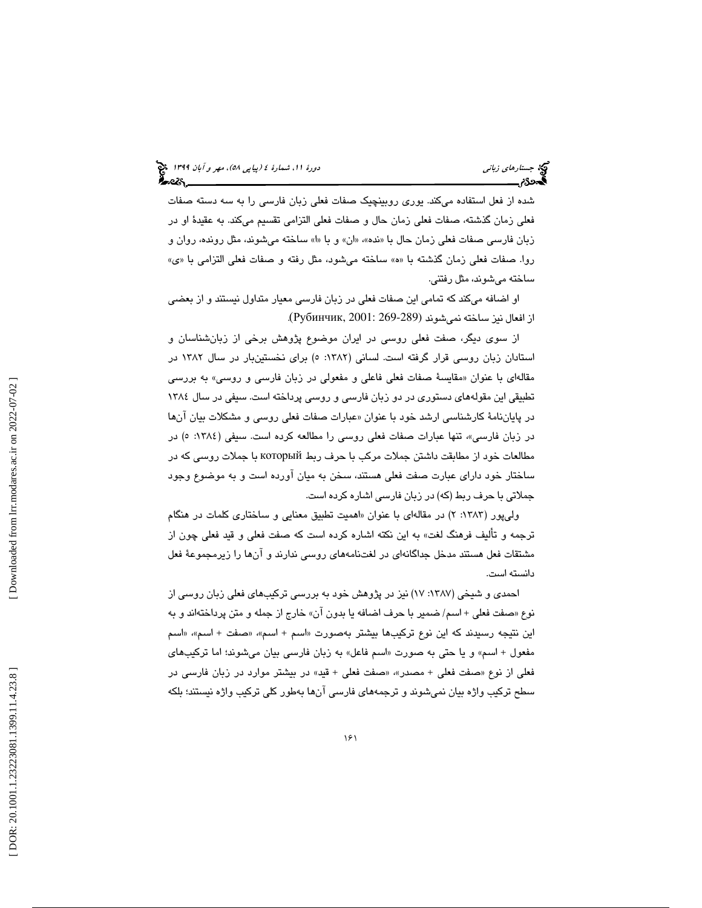شده از فعل استفاده ميكند. يوري روبينچيك صفات فعلي زبان فارسي را به سه دسته صفات فعلي زمان گذشته، صفات فعلي زمان حال و صفات فعلي التزامي تقسيم ميكند. به عقيدة او در زبان فارسی صفات فعلی زمان حال با «نده»، «ان» و با «ا» ساخته میشوند، مثل رونده، روان و روا. صفات فعلي زمان گذشته با «ه» ساخته ميشود، مثل رفته و صفات فعلي التزامي با «ي» ساخته ميشوند، مثل رفتني.

او اضافه ميكند كه تمامي اين صفات فعلي در زبان فارسي معيار متداول نيستند و از بعضي . از افعال نيز ساخته نميشوند (269-289 2001: ,Рубинчик(

از سوي ديگر، صفت فعلي روسي در ايران موضوع پژوهش برخي از زبانشناسان و استادان زبان روسي قرار گرفته است. لساني (۱۳۸۲: ٥) براي نخستينبار در سال ۱۳۸۲ در مقالهای با عنوان «مقايسهٔ صفات فعلي فاعلي و مفعولي در زبان فارسي و روسي» به بررسي تطبيقي اين مقولههاي دستوري در دو زبان فارسي و روسي پرداخته است. سيفي در سال 1384 در پاياننامهٔ كارشناسي ارشد خود با عنوان «عبارات صفات فعلي روسي و مشكلات بيان آنها در زبان فارسي»، تنها عبارات صفات فعلي روسي را مطالعه كرده است. سيفي (١٣٨٤: ٥) در مطالعات خود از مطابقت داشتن جملات مركب با حرف ربط который با جملات روسي كه در ساختار خود دارای عبارت صفت فعلی هستند، سخن به میان آورده است و به موضوع وجود<br>جملاتی با حرف ربط (که) در زبان فارسی اشاره کرده است.

ولي پور (١٣٨٢: ٢) در مقالهاي با عنوان «اهميت تطبيق معنايي و ساختاري كلمات در هنگام ترجمه و تألیف فرهنگ لغت» به این نکته اشاره کرده است که صفت فعلی و قید فعلی چون از مشتقات فعل هستند مدخل جداگانهاي در لغتنامههاي روسي ندارند و آنها را زيرمجموعة فعل دانسته است.

احمدي و شيخي (١٣٨٧: ١٧) نيز در پژوهش خود به بررسي تركيبهاي فعلي زبان روسي از صفت فعلي + اسم/ ضمير با حرف اضافه يا بدون آن» خارج از جمله و متن پرداختهاند و به نوع « اين نتيجه رسيدند كه اين نوع تركيبها بيشتر بهصورت «اسم + اسم»، «صفت + اسم»، «اسم مفعول + اسم» و يا حتى به صورت «اسم فاعل» به زبان فارسي بيان ميشوند؛ اما تركيبهاي فعلي از نوع «صفت فعلي + مصدر»، «صفت فعلي + قيد» در بيشتر موارد در زبان فارسـي در سطح تركيب واژه بيان نميشوند و ترجمههاي فارسي آنها بهطور كلي تركيب واژه نيستند؛ بلكه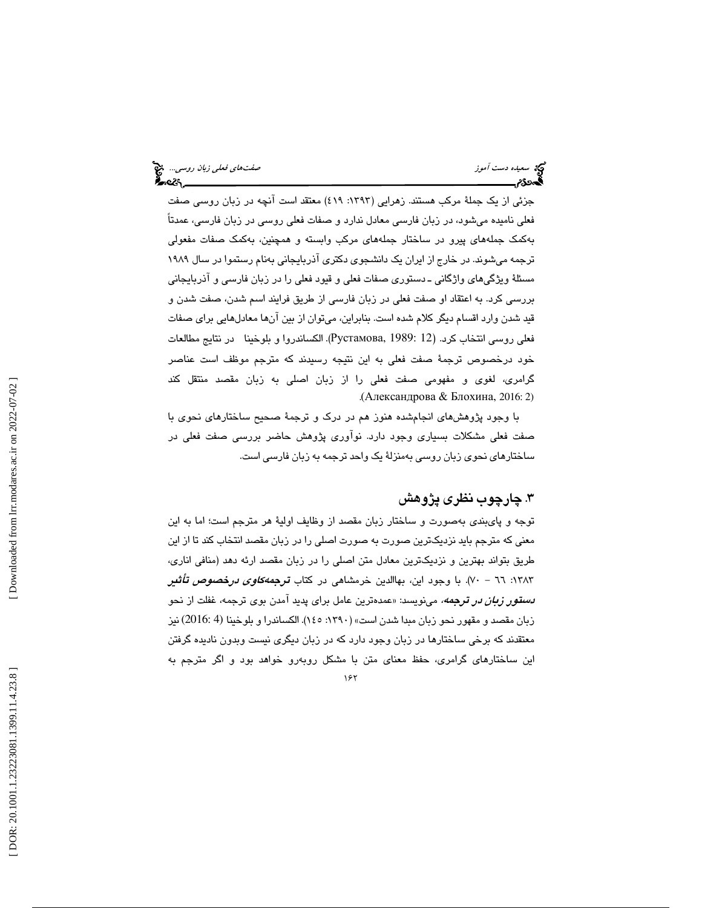جزئي از يک جملهٔ مرکب هستند. زهرايي (١٣٩٣: ٤١٩) معتقد است آنچه در زبان روسىي صفت فعلي ناميده ميشود، در زبان فارسي معادل ندارد و صفات فعلي روسي در زبان فارسي، عمدتاً بهكمك جملههاي پيرو در ساختار جملههاي مركب وابسته و همچنين، بهكمك صفات مفعولي ترجمه ميشوند. در خارج از ايران يك دانشجوي دكتري آذربايجاني بهنام رستموا در سال 1989 مسئلة ويژگيهاي واژگاني ـ دستوري صفات فعلي و قيود فعلي را در زبان فارسي و آذربايجاني بررسي كرد. به اعتقاد او صفت فعلي در زبان فارسي از طريق فرايند اسم شدن، صفت شدن و قيد شدن وارد اقسام ديگر كلام شده است. بنابراين، ميتوان از بين آنها معادلهايي براي صفات فعلي روسي انتخاب كرد. ( 12 1989: ,Рустамова(. الكساندروا و بلوخينا در نتايج مطالعات خود درخصوص ترجمة صفت فعلي به اين نتيجه رسيدند كه مترجم موظف است عناصر گرامري، لغوي و مفهومي صفت فعلي را از زبان اصلي به زبان مقصد منتقل كند . (Александрова & Блохина, 2016: 2)

با وجود پژوهش های انجامشده هنوز هم در درک و ترجمهٔ صحیح ساختارهای نحوی با صفت فعلي مشكلات بسياري وجود دارد. نوآوري پژوهش حاضر بررسي صفت فعلي در ساختارهاي نحوي زبان روسي بهمنزلة يك واحد ترجمه به زبان فارسي است.

### 3. چارچوب نظري پژوهش

توجه و پايبندي بهصورت و ساختار زبان مقصد از وظايف اولية هر مترجم است؛ اما به اين معني كه مترجم بايد نزديكترين صورت به صورت اصلي را در زبان مقصد انتخاب كند تا از اين طريق بتواند بهترين و نزديكترين معادل متن اصلي را در زبان مقصد ارئه دهد (منافي اناري، ۱۳۸۳: ۷۱ – ۷۰). با وجود اين، بهاالدين خرمشاهي در كتاب *ترجمهكاوي درخصوص تأثير* **د***ستور زبان در ترجمه،* **می**نویسد: «عمدهترین عامل برای پدید آمدن بوی ترجمه، غفلت از نحو زبان مقصد و مقهور نحو زبان مبدا شدن است» (:1390 145). الكساندرا و بلوخينا (4 2016:) نيز معتقدند كه برخي ساختارها در زبان وجود دارد كه در زبان ديگري نيست وبدون ناديده گرفتن اين ساختارهاي گرامري، حفظ معناي متن با مشكل روبهرو خواهد بود و اگر مترجم به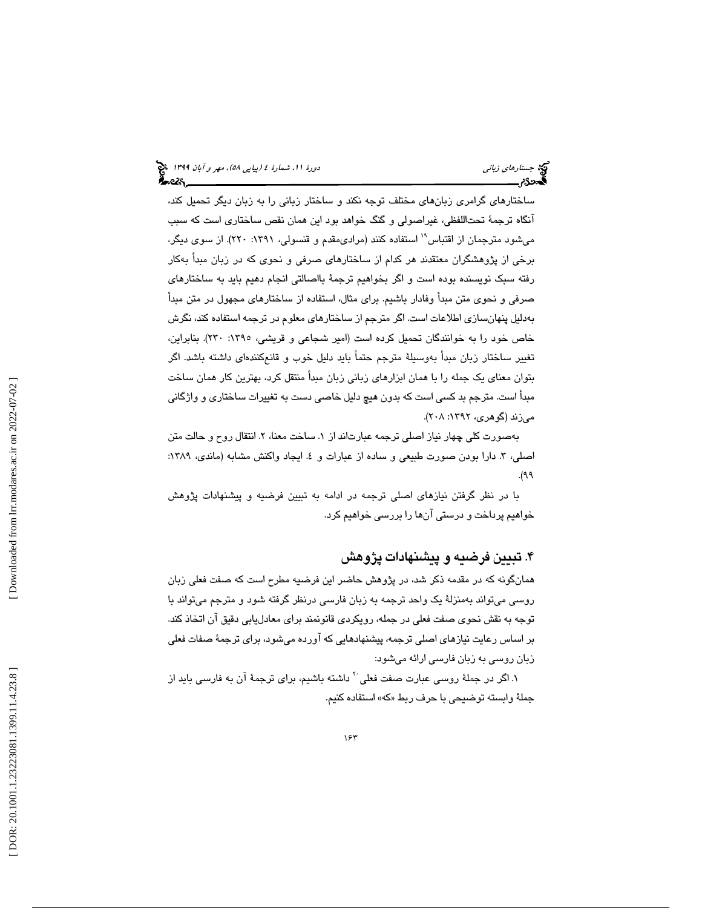ساختارهاي گرامري زبانهاي مختلف توجه نكند و ساختار زباني را به زبان ديگر تحميل كند، آنگاه ترجمة تحتاللفظي، غيراصولي و گنگ خواهد بود اين همان نقص ساختاري است كه سبب میشود مترجمان از اقتباس<sup>۱۹</sup> استفاده كنند (مرادیمقدم و قنسولی، ۱۳۹۱: ۲۲۰). از سوی دیگر، برخي از پژوهشگران معتقدند هر كدام از ساختارهاي صرفي و نحوي كه در زبان مبدأ بهكار رفته سبك نويسنده بوده است و اگر بخواهيم ترجمة بااصالتي انجام دهيم بايد به ساختارهاي صرفي و نحوي متن مبدأ وفادار باشيم. براي مثال، استفاده از ساختارهاي مجهول در متن مبدأ بهدليل پنهانسازي اطلاعات است. اگر مترجم از ساختارهاي معلوم در ترجمه استفاده كند، نگرش خاص خود را به خوانندگان تحميل كرده است (امير شجاعي و قريشي، 1395 : 230). بنابراين، تغيير ساختار زبان مبدأ بهوسيلة مترجم حتماً بايد دليل خوب و قانعكنندهاي داشته باشد. اگر بتوان معناي يك جمله را با همان ابزارهاي زباني زبان مبدأ منتقل كرد، بهترين كار همان ساخت مبدأ است. مترجم بد كسي است كه بدون هيچ دليل خاصي دست به تغييرات ساختاري و واژگاني ميزند (گوهري، ١٣٩٢: ٢٠٨).

بهصورت كلي چهار نياز اصلي ترجمه عبارتاند از ١. ساخت معنا، ٢. انتقال روح و حالت متن اصلي، ٣. دارا بودن صورت طبيعي و ساده از عبارات و ٤. ايجاد واكنش مشابه (ماندي، ١٣٨٩: 99(.

با در نظر گرفتن نيازهاي اصلي ترجمه در ادامه به تبيين فرضيه و پيشنهادات پژوهش خواهيم پرداخت و درستي آنها را بررسي خواهيم كرد.

### 4. تبيين فرضيه و پيشنهادات پژوهش

همانگونه كه در مقدمه ذكر شد، در پژوهش حاضر اين فرضيه مطرح است كه صفت فعلي زبان روسي ميتواند به منزلة يك واحد ترجمه به زبان فارسي رد نظر گرفته شود و مترجم ميتواند با توجه به نقش نحوي صفت فعلي در جمله، رويكردي قانونمند براي معادليابي دقيق آن اتخاذ كند. بر اساس رعايت نيازهاي اصلي ترجمه، پيشنهادهايي كه آورده ميشود، براي ترجمة صفات فعلي زبان روسي به زبان فارسي ارائه ميشود:

۱. اگر در جملهٔ روسی عبارت صفت فعلی<sup>۲۰</sup> داشته باشیم، برای ترجمهٔ آن به فارسی باید از جملهٔ وابسته توضيحي با حرف ربط «كه» استفاده كنيم.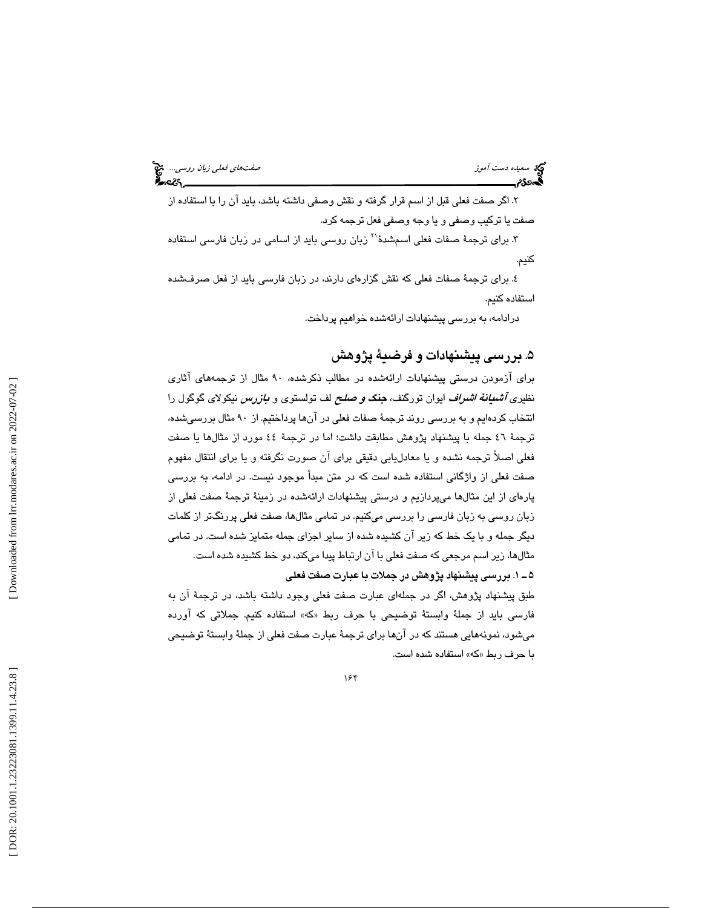سعيده دست *آموز وسي...*. المن المعلمات المعلمات المعلمات المعلمات فعلي زبان روسي.... المن المعلمات المعلمات الم<br>المعاهدة *المعلمات المعلمات المعلمات المعلمات المعلمات المعلمات المعلمات المعلمات المعلمات المعلمات المعلمات* 

 2. اگر صفت فعلي قبل از اسم قرار گرفته و نقش وصفي داشته باشد، بايد آن را با استفاده از صفت يا تركيب وصفي و يا وجه وصفي فعل ترجمه كرد.

۳. برای ترجمهٔ صفات فعلی اسمشدهٔ<sup>۲۱</sup> زبان روسی باید از اسامی در زبان فارسی استفاده كنيم.

 4. براي ترجمة صفات فعلي كه نقش گزارهاي دارند، در زبان فارسي بايد از فعل صرفشده استفاده كنيم.

درادامه، به بررسي پيشنهادات ارائهشده خواهيم پرداخت.

# 5. بررسي پيشنهادات و فرضية پژوهش

براي آزمودن درستي پيشنهادات ارائهشده در مطالب ذكرشده، 90 مثال از ترجمههاي آثاري نظيري *آشیانهٔ اشراف* ايوان تورگنف، **جن***گ و صلح* **ل**ف تولستوي و *بازرس* نيكولاي گوگول را انتخاب كردهايم و به بررسي روند ترجمة صفات فعلي در آنها پرداختيم. از 90 مثال بررسيشده، ترجمة 46 جمله با پيشنهاد پژوهش مطابقت داشت؛ اما در ترجمة 44 مورد از مثالها يا صفت فعلي اصلاً ترجمه نشده و يا معادليابي دقيقي براي آن صورت نگرفته و يا براي انتقال مفهوم صفت فعلي از واژگاني استفاده شده است كه در متن مبدأ موجود نيست. در ادامه، به بررسي پارهاي از اين مثالها ميپردازيم و درستي پيشنهادات ارائهشده در زمينة ترجمة صفت فعلي از زبان روسي به زبان فارسي را بررسي ميكنيم. در تمامي مثالها، صفت فعلي پررنگتر از كلمات ديگر جمله و با يك خط كه زير آن كشيده شده از ساير اجزاي جمله متمايز شده است. در تمامي مثالها، زير اسم مرجعي كه صفت فعلي با آن ارتباط پيدا ميكند، دو خط كشيده شده است. 1ـ 5 . بررسي پيشنهاد پژوهش در جملات با عبارت صفت فعلي

طبق پيشنهاد پژوهش، اگر در جملهاي عبارت صفت فعلي وجود داشته باشد، در ترجمة آن به فارسي بايد از جملهٔ وابستهٔ توضیحی با حرف ربط «که» استفاده کنیم. جملاتی که آورده میشود، نمونههایی هستند که در آنها برای ترجمهٔ عبارت صفت فعلی از جملهٔ وابستهٔ توضیحی<br>با حرف ربط «که» استفاده شده است.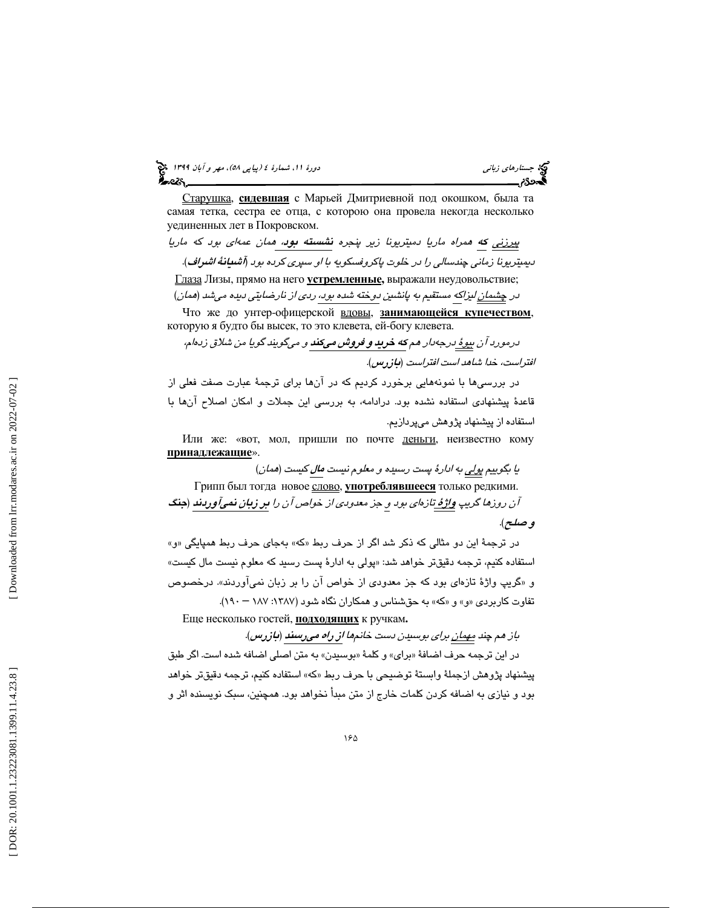(پياپي 58)، مهر و آبان 1399 جستارهاي زباني دورة ،11 شمارة 4

<u>Старушка,</u> сидевшая с Марьей Дмитриевной под окошком, была та самая тетка, сестра ее отца, с которою она провела некогда несколько уединенных лет в Покровском.

پيرزني كه همراه ماريا دميتريونا زير پنجره نشسته بود، همان عمهاي بود كه ماريا ديميتريونا زماني چندسالي را در خلوت پاكروفسكويه با او سپري كرده بود ( آشيانة اشراف ). <u>Глаза</u> Лизы, прямо на него <u>устремленные</u>, выражали неудовольствие; در <u>چشمان ليز</u>اكه مستقيم به پانشين دوخته شده بود، ردي از نارضايتي ديده مي شد (*همان)* 

Что же до унтер-офицерской вдовы, занимающейся купечеством, которую я будто бы высек, то это клевета, ей -богу клевета.

درمورد آن بي<u>وۀ </u>درجهدار هم **كه خريد و فروش ميكند** و ميگويند گويا من شلاق زدهام، افتراست، خدا شاهد است افتراست (بازرس .)

در بررسيها با نمونههايي برخورد كرديم كه در آنها براي ترجمة عبارت صفت فعلي از قاعدة پيشنهادي استفاده نشده بود. درادامه، به بررسي اين جملات و امكان اصلاح آنها با استفاده از پيشنهاد پژوهش ميپردازيم.

Или же: «вот, мол, пришли по почте деньги, неизвестно кому принадлежащие».

يا بگوييم پو<u>لي</u> به ادارهٔ پست رسيده و معلوم نيست *مال* كيست (*همان)* 

Грипп был тогда новое <u>слово, у**потреблявшееся** только редкими.</u> آن روزها گريپ واژهٔ تازهاي بود و جز معدودي از خواص آن را <mark>بر زبان نميآوردند</mark> (جنگ و صلح .)

 در ترجمة اين دو مثالي كه ذكر شد اگر از حرف ربط « به »كه جاي حرف ربط همپايگي »و« استفاده كنيم، ترجمه دقيقتر خواهد شد: «پولي به ادارهٔ پست رسيد كه معلوم نيست مال كيست» «و گريپ واژة تازهاي بود كه جز معدودي از خواص آن را بر زبان نميآوردند .» درخصوص تفاوت كاربردي «و» و «كه» به حقشناس و همكاران نگاه شود (١٣٨٧: ١٨٧ – ١٩٠).

Еще несколько гостей, подходящих к ручкам **.**

باز هم چند <u>مهمان برا</u>ی بوسیدن دست خانمها از راه میرسند (بازرس). در اين ترجمه حرف اضافة « براي » و كلمة « بوسيدن » به متن اصلي اضافه شده است. اگر طبق پيشنهاد پژوهش از جملة وابستة توضيحي با حرف ربط « »كه استفاده كنيم، ترجمه دقيق تر خواهد بود و نيازي به اضافه كردن كلمات خارج از متن مبدأ نخواهد بود. همچنين، سبك نويسنده اثر و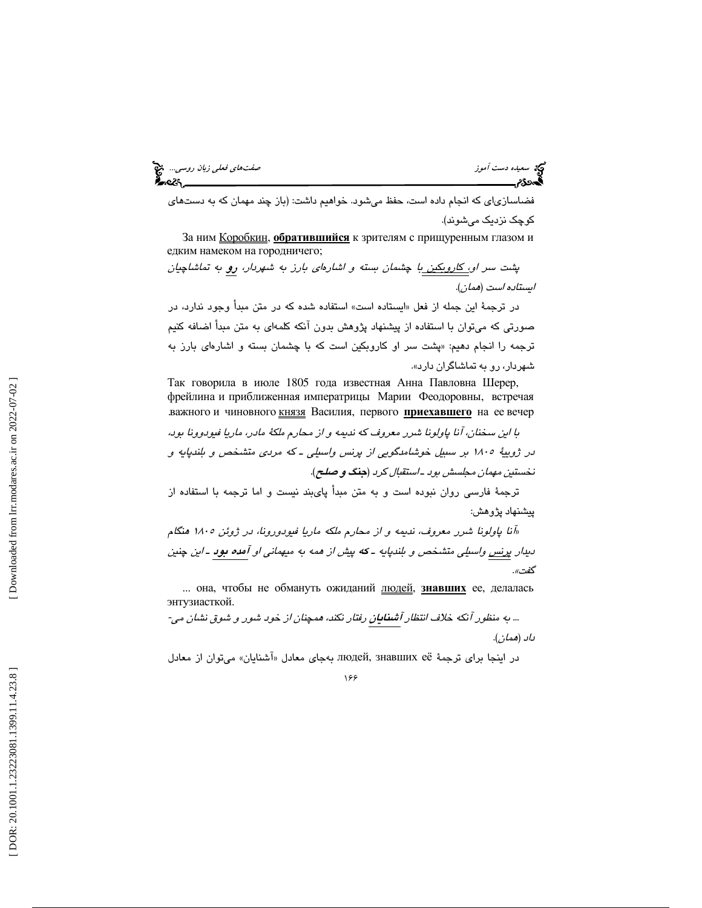سعيده دست آموز صفتهاي فعلي زبان روسي... المجمع الموارد وسي... المجمع الموارد وسي... المجمع الموارد وسي... المج<br>المحدوديم

فضاسازیای كه انجام داده است، حفظ میشود. خواهیم داشت: (باز چند مهمان كه به دستهای كوچك نزديك ميشوند ).

За ним <u>Коробкин,</u> обратившийся к зрителям с прищуренным глазом и едким намеком на городничего;

پشت سر ا<u>و، كاروبكين ب</u>ا چشمان بسته و اشارهاي بارز به شهردار، <mark>رو</mark> به تماشاچيان ايستاده است ( همان .)

در ترجمهٔ این جمله از فعل «ایستاده است» استفاده شده که در متن مبدأ وجود ندارد، در صورتي كه ميتوان با استفاده از پيشنهاد پژوهش بدون آنكه كلمهاي به متن مبدأ اضافه كنيم ترجمه را انجام دهیم: «پشت سر او كاروبكين است كه با چشمان بسته و اشارهاي بارز به شهردار، رو به تماشاگران دارد ».

Так говорила в июле 1805 года известная Анна Павловна Шерер, фрейлина и приближенная императрицы Марии Феодоровны, встречая важного и чиновного князя Василия, первого **приехавшего** на ее вечер

با اين سخنان، آنا پاولونا شرر معروف كه نديمه و از محارم ملكهٔ مادر، ماريا فيودوونا بود، در ژويية 1805 بر سبيل خوشامدگويي از پرنس واسيلي ـ كه مردي متشخص و بلندپايه و نخستين مهمان مجلسش بود ـ استقبال كرد (جنگ و صلح ).

ترجمهٔ فارسی روان نبوده است و به متن مبدأ پایبند نیست و اما ترجمه با استفاده از پيشنهاد پژوهش:

«آنا پاولونا شرر معروف، نديمه و از محارم ملكه ماريا فيودورونا، در ژوئن 1805 هنگام ديدار پ<u>رنس</u> واسيلي متشخص و بلندپايه ـ كه پيش از همه به ميهماني او آمده بود ـ اين چنين گف*ت»*.

... она, чтобы не обмануть ожиданий пюдей, знавших ее, делалась энтузиасткой.

... به منظور آنكه خلاف انتظار آشنايان رفتار نكند، همچنان از خود شور و شوق نشان مي- داد (همان .)

در اينجا براي ترجمة ЛЮДей, знавших её بهجاي معادل «آشنايان» ميتوان از معادل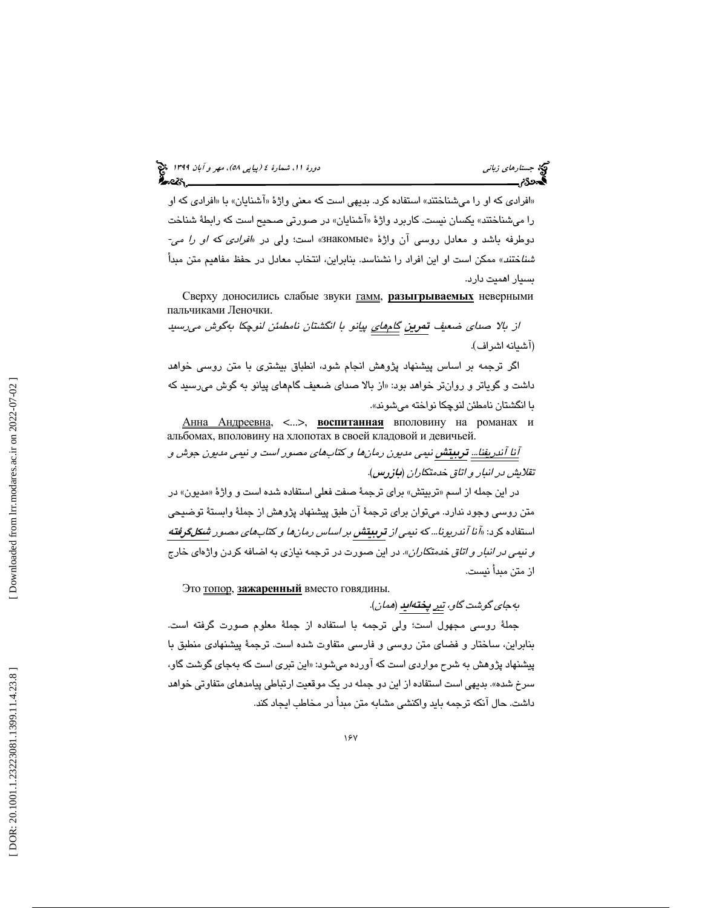# (پياپي 58)، مهر و آبان 1399 جستارهاي زباني دورة ،11 شمارة 4

«افرادي كه او را ميشناختند» استفاده كرد. بديهي است كه معنى واژهٔ «آشنايان» با «افرادي كه او را ميشناختند» يكسان نيست. كاربرد واژهٔ «آشنايان» در صورتي صحيح است كه رابطهٔ شناخت دوطرفه باشد و معادل روسی آن واژهٔ «BHakOMЫe» است؛ ولی در «*افرادی که او را می*-شناختند» ممكن است او اين افراد را نشناسد. بنابراين، انتخاب معادل در حفظ مفاهيم متن مبدأ بسيار اهميت دارد.

Сверху доносились слабые звуки **гамм, разыгрываемых** неверными пальчиками Леночки.

*از بالا صدای ضعيف <mark>تمرين گا<sub>ه</sub>هاي</mark> پيانو با انگشتان نامطمئن لنوچكا بهگوش م<sub>ى</sub>رسىيد<br>(آشمانه اشراف).* 

اگر ترجمه بر اساس پيشنهاد پژوهش انجام شود، انطباق بيشتري با متن روسي خواهد داشت و گوياتر و روانتر خواهد بود: «از بالا صداي ضعيف گامهاي پيانو به گوش ميرسيد كه با انگشتان نامطئن لنوچكا نواخته مي شوند».

<u>Анна Андреевна,</u> <...>, воспитанная вполовину на романах и альбомах, вполовину на хлопотах в своей кладовой и девичьей. آنا آندريفنا... تربيتش نيمي مديون رمانها و كتابهاي مصور است و نيمي مديون جوش و

تقلايش در انبار و اتاق خدمتكاران ( بازرس ).

در اين جمله از اسم «تربيتش» براي ترجمهٔ صفت فعلي استفاده شده است و واژهٔ «مديون» در متن روسي وجود ندارد. ميتوان براي ترجمة آن طبق پيشنهاد پژوهش از جملة وابستة توضيحي استفاده كرد: «*آنا آندريونا... كه نيمي از تربيتش بر اساس رمانها و كتابهاي مصور شكلگرفته* و ن*يمي در انبار و اتاق* خ*دمتكاران*». در اين صورت در ترجمه نيازي به اضافه كردن واژهاي خارج از متن مبدأ نيست.

Это топор, зажаренный вместо говядины.

بهجا*ی گوشت گاو،* ت<u>بر</u> پ**ختهايد** (*همان*).

جملة روسي مجهول است؛ ولي ترجمه با استفاده از جملة معلوم صورت گرفته است. بنابراين، ساختار و فضاي متن روسي و فارسي متفاوت شده است. ترجمة پيشنهادي منطبق با پیشنهاد پژوهش به شرح مواردی است که آورده میشود: «این تبری است که بهجای گوشت گاو، سرخ شده ». بديهي است استفاده از اين دو جمله در يك موقعيت ارتباطي پيامدهاي متفاوتي خواهد داشت. حال آنكه ترجمه بايد واكنشي مشابه متن مبدأ در مخاطب ايجاد كند.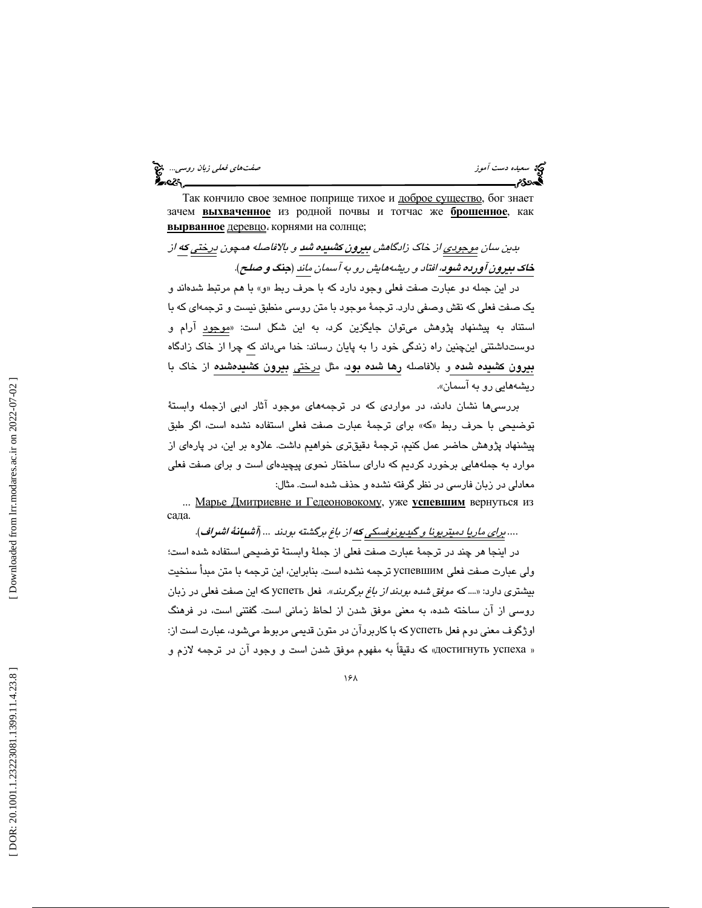سعيده دست آموز صفت السعيد و العربي التي تعلي زبان روسي... التي تعلي زبان روسي... التي تعلي زبان روسي... التي ت<br>**العدد: تعلي العدد: حضر العدد العدد العدد العدد العدد العدد العدد العدد العدد العدد العدد العدد العدد العدد ال** 

Так кончило свое земное поприще тихое и доброе существо, бог знает зачем <u>выхваченное</u> из родной почвы и тотчас же <mark>брошенное</mark>, как вырванное деревцо ، корнями на солнце;

بدين سان موجودي از خاك زادگاهش بيرون كشيده شد و بالافاصله همچون درختي كه از خاك بيرون آورده شود، افتاد و ريشههايش رو به آسمان ماند ( جنگ و صلح ). در اين جمله دو عبارت صفت فعلي وجود دارد كه با حرف ربط و« » با هم مرتبط شدهاند و يك صفت فعلي كه نقش وصفي دارد. ترجمة موجود با متن روسي منطبق نيست و ترجمهاي كه با استناد به پيشنهاد پژوهش میتوان جايگزين كرد، به اين شكل است: «<u>موجود</u> آرام و دوستداشتني اينچنين راه زندگي خود را به پايان رساند: خدا ميداند كه چرا از خاك زادگاه بيرون كشيده شده و بلافاصله رها شده بود، مثل درختي بيرون كشيدهشده از خاك با ريشههايي رو به آسمان ».

بررسيها نشان دادند، در مواردي كه در ترجمههاي موجود آثار ادبي ازجمله وابستة توضيحي با حرف ربط «كه» براي ترجمهٔ عبارت صفت فعلي استفاده نشده است، اگر طبق پيشنهاد پژوهش حاضر عمل كنيم، ترجمة دقيقتري خواهيم داشت. علاوه بر اين، در پارهاي از موارد به جملههايي برخورد كرديم كه داراي ساختار نحوي پيچيدهاي است و براي صفت فعلي معادلي در زبان فارسي در نظر گرفته نشده و حذف شده است. مثال:

... <u>Марье Дмитриевне и Гедеоновокому</u>, уже **успевшим** вернуться из сада.

*....* براي ماريا دميتريونا و گيديونوفسكي كه از باغ برگشته بودند *...* (آشيانة اشراف .)

در اينجا هر چند در ترجمة عبارت صفت فعلي از جملة وابستة توضيحي استفاده شده است؛ ولي عبارت صفت فعلي успевшим ترجمه نشده است. بنابراين، اين ترجمه با متن مبدأ سنخيت بيشتري دارد: «.... كه موفق شده بودند از باغ برگردند». فعل успеть كه اين صفت فعلي در زبان روسي از آن ساخته شده، به معني موفق شدن از لحاظ زماني است. گفتني است، در فرهنگ اوژگوف معني دوم فعل успеть كه با كاربردآن در متون قديمي مربوط ميشود، عبارت است از: « достигнуть успеха» كه دقيقاً به مفهوم موفق شدن است و وجود آن در ترجمه لازم و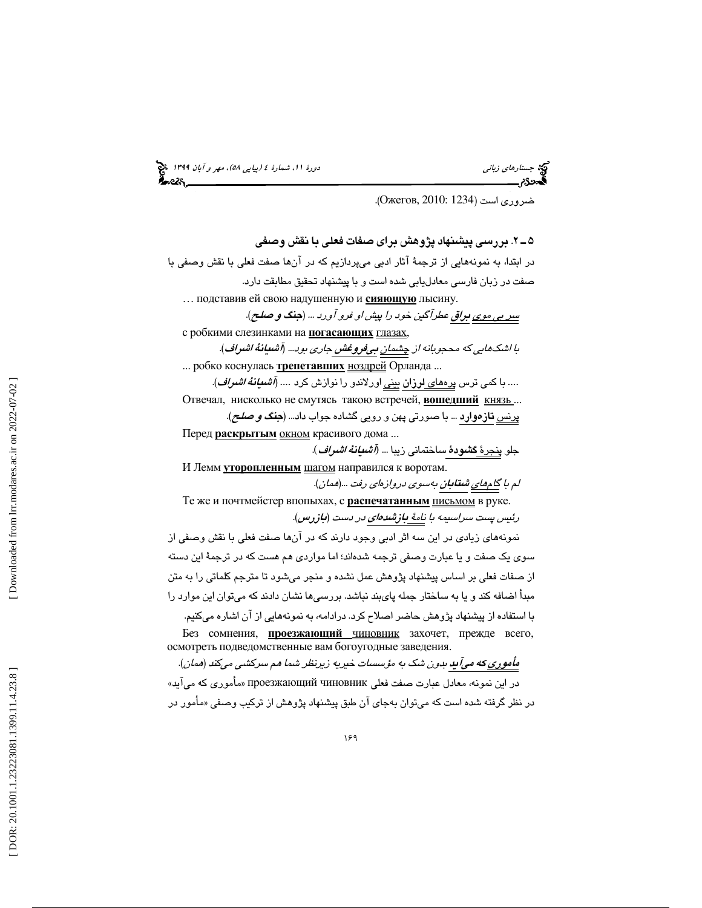(پياپي 58)، مهر و آبان 1399 جستارهاي زباني دورة ،11 شمارة 4

(. Ожегов, 2010: 1234 ضروري است (

2ـ 5 . بررسي پيشنهاد پژوهش براي صفات فعلي با نقش وصفي در ابتدا، به نمونههايي از ترجمة آثار ادبي ميپردازيم كه در آنها صفت فعلي با نقش وصفي با صفت در زبان فارسي معادليابي شده است و با پيشنهاد تحقيق مطابقت دارد. ... подставив ей свою надушенную и сияющую лысину. سر بي موي براق عطرآگين خود را پيش او فرو آورد ... (جنگ و صلح ). с робкими слезинками на погасающих глазах, با اشكهايي كه محجوبانه از <u>چشمان بي</u>فروغش جاري بود... (آش**يان**هٔ اشراف). ... робко коснулась трепетавших ноздрей Орланда ... .... با كمی ترس پ<u>رههای **لرزا**ن بینی</u> اورلاندو را نوازش كرد .... *(آشیانهٔ اشراف).* Отвечал, нисколько не смутясь такою встречей, вошедший князь... <u>پرنس</u> **تازهوارد** ... با صورتی پهن و رویی گشاده جواب داد... (**جن***گ و صلح)***.** Перед раскрытым окном красивого дома... جلو <u>پنجرهٔ </u>گ**شودهٔ** ساختمانی زیبا .*.. (آشیانهٔ اشراف*). И Лемм уторопленным **шагом направился к воротам**. لم با <u>گامهاي</u> ش**تابا**ن به سوي دروازهاي رفت ...(همان). Те же и почтмейстер впопыхах, с **распечатанным** письмом в руке. رئيس پست سراسيمه با نامة بازشدهاي در دست ( بازرس ). نمونههاي زيادي در اين سه اثر ادبي وجود دارند كه در آنها صفت فعلي با نقش وصفي از سوي يك صفت و يا عبارت وصفي ترجمه شدهاند؛ اما مواردي هم هست كه در ترجمة اين دسته از صفات فعلي بر اساس پيشنهاد پژوهش عمل نشده و منجر ميشود تا مترجم كلماتي را به متن مبدأ اضافه كند و يا به ساختار جمله پايبند نباشد. بررسيها نشان دادند كه ميتوان اين موارد را با استفاده از پيشنهاد پژوهش حاضر اصلاح كرد. درادامه، به نمونههايي از آن اشاره ميكنيم. Без сомнения, проезжающий чиновник захочет, прежде всего, осмотреть подведомственные вам богоугодные заведения.

مأموريكه ميآيد بدون شك به مؤسسات خيريه زيرنظر شما هم سركشي ميكند ( همان ). در اين نمونه، معادل عبارت صفت فعلي чиновник проезжающий » مأموري كه ميآيد» در نظر گرفته شده است كه ميتوان بهجاي آن طبق پيشنهاد پژوهش از تركيب وصفي «مأمور در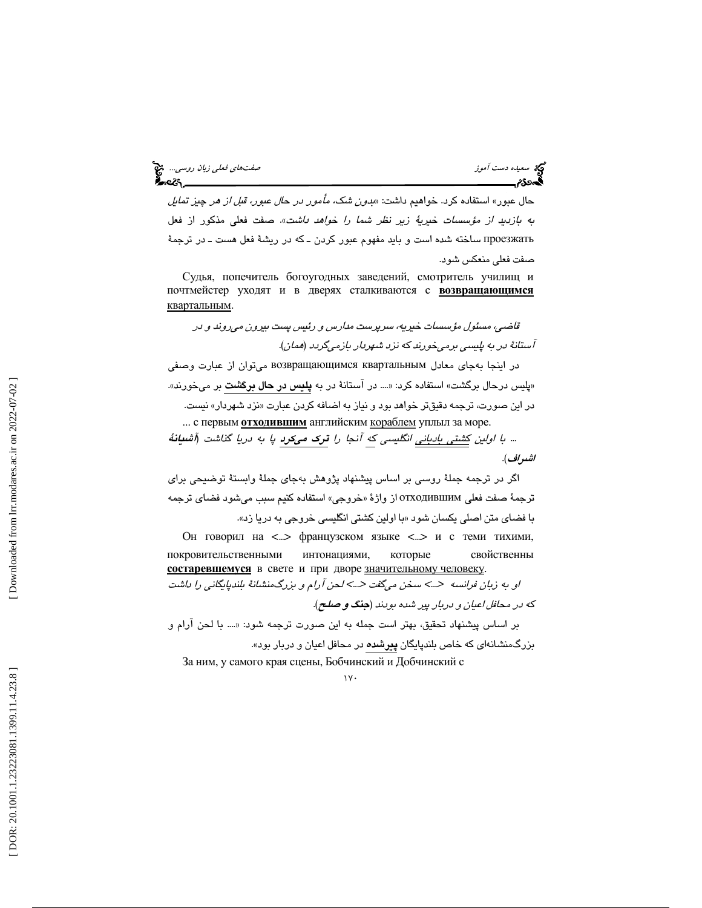حال عبور» استفاده كرد. خواهيم داشت: «بدون شك، مأمور در حال عبور، قبل از هر چيز تمايل به بازديد از مؤسسات خيرية زير نظر شما را خواهد داشت». صفت فعلي مذكور از فعل проезжать ساخته شده است و بايد مفهوم عبور كردن ـ كه در ريشة فعل هست ـ در ترجمة صفت فعلي منعكس شود.

Судья, попечитель богоугодных заведений, смотритель училищ и почтмейстер уходят и в дверях сталкиваются с **возвращающимся** квартальным .

قاضي، مسئول مؤسسات خيريه، سرپرست مدارس و رئيس پست بيرون ميروند و در آستانة در به پليسي برميخورند كه نزد شهردار بازميگردد ( همان .)

در اينجا بهجاي معادل квартальным возвращающимся ميتوان از عبارت وصفي «پليس درحال برگشت» استفاده كرد: «.... در آستانهٔ در به **پليس در حال برگشت** بر ميخورند». در اين صورت، ترجمه دقيقتر خواهد بود و نياز به اضافه كردن عبارت «نزد شهردار» نيست. ... с первым **отходившим** английским кораблем уплыл за море.

... با اولين كشتي بادباني انگليسي كه آنجا را ترك ميكرد پا به دريا گذاشت ( آشيانة اشراف ).

اگر در ترجمه جملة روسي بر اساس پيشنهاد پژوهش بهجاي جملة وابستة توضيحي براي ترجمة صفت فعلي отходившим از واژهٔ «خروجي» استفاده كنيم سبب ميشود فضاي ترجمه با فضاي متن اصلي يكسان شود « با اولين كشتي انگليسي خروجي به دريا زد ».

Он говорил на <...> французском языке <...> и с теми тихими, покровительственными интонациями , которые свойственны состаревшемуся в свете и при дворе значительному человеку. او به زبان فرانسه حسك سخن مىگفت حسكندن آرام و بزرگ،منشانهٔ بلندپايگانى را داشت كه در محافل اعيان و دربار پير شده بودند (جنگ و صلح ).

بر اساس پيشنهاد تحقيق، بهتر است جمله به اين صورت ترجمه شود: «.... با لحن آرام و بزرگمنشانهای که خاص بلندپايگان **پيرشده** در محافل اعيان و دربار بود».

За ним, у самого края сцены, Бобчинский и Добчинский с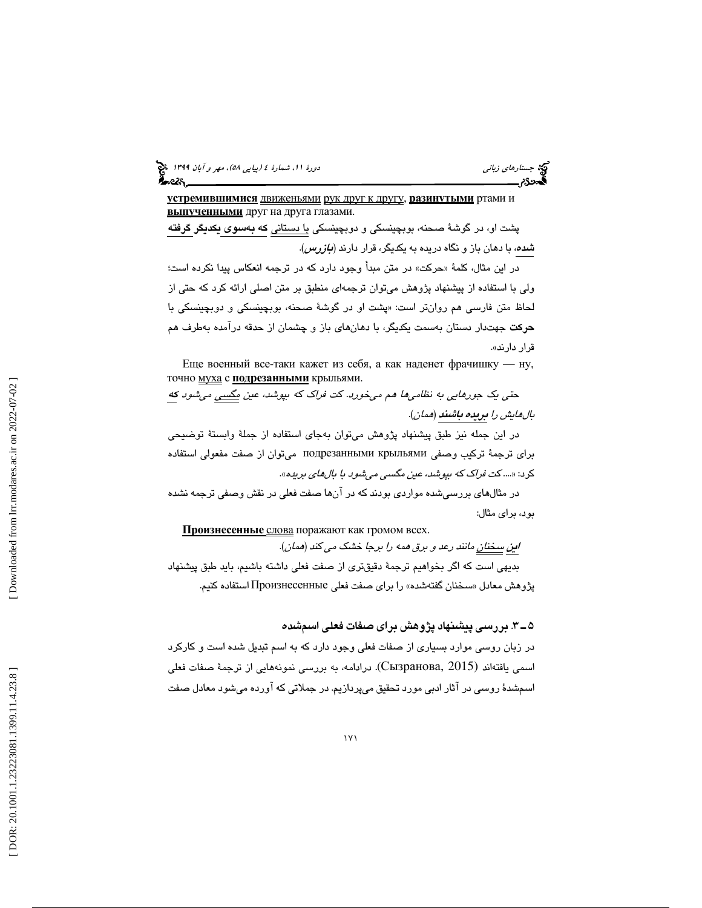(پياپي 58)، مهر و آبان 1399 جستارهاي زباني دورة ،11 شمارة 4

<mark>устремившимися</mark> <u>движеньями рук друг к другу, <mark>разинутыми</mark> ртами и</u> выпученными друг на друга глазами.

پشت او، در گوشهٔ صحنه، بوبچینسکی و دوبچینسکی <u>با دستان</u>ی **که بهسوی یکدیگر گرفته** شد*ه*، با دهان باز و نگاه دريده به يكديگر، قرار دارند (*بازرس).* 

در اين مثال، كلمهٔ «حركت» در متن مبدأ وجود دارد كه در ترجمه انعكاس پيدا نكرده است؛ ولي با استفاده از پيشنهاد پژوهش ميتوان ترجمهاي منطبق بر متن اصلي ارائه كرد كه حتي از لحاظ متن فارسی هم روانتر است: «پشت او در گوشهٔ صحنه، بوبچینسکی و دوبچینسکی با حركت جهتدار دستان بهسمت يكديگر، با دهانهاي باز و چشمان از حدقه درآمده بهطرف هم قرار دارند ».

Еще военный все -таки кажет из себя, а как наденет фрачишку — ну, точно <u>муха</u> с подрезанными крыльями.

حت*ي يک جورهايي به نظاميها هم ميخورد. کت فراک که بپوشد، عين <u>مگسي</u> ميشود ک<u>ه</u>* بالهايش را بريده باشند (همان ).

در اين جمله نيز طبق پيشنهاد پژوهش ميتوان بهجاي استفاده از جملة وابستة توضيحي براي ترجمة تركيب وصفي крыльями подрезанными ميتوان از صفت مفعولي استفاده كرد: «.... كت فراك كه بپوشد، عين مگسي ميشود با بالهاي بريده ».

در مثالهاي بررسيشده مواردي بودند كه در آنها صفت فعلي در نقش وصفي ترجمه نشده بود، براي مثال:

Произнесенные слова поражают как громом всех.

ا**ي**ن <u>سخنان</u> مانند رعد و برق همه را برجا خشک می كند (*همان*).

بديهي است كه اگر بخواهيم ترجمة دقيقتري از صفت فعلي داشته باشيم، بايد طبق پيشنهاد سخنان گفتهشده» را براي صفت فعلي Произнесенные استفاده كنيم. پژوهش معادل «

### 3ـ 5 . بررسي پيشنهاد پژوهش براي صفات فعلي اسمشده

در زبان روسي موارد بسياري از صفات فعلي وجود دارد كه به اسم تبديل شده است و كاركرد اسمی یافتهاند (Сызранова, 2015). درادامه، به بررسی نمونههایی از ترجمهٔ صفات فعلی . اسمشدة روسي در آثار ادبي مورد تحقيق ميپردازيم. در جملاتي كه آورده ميشود معادل صفت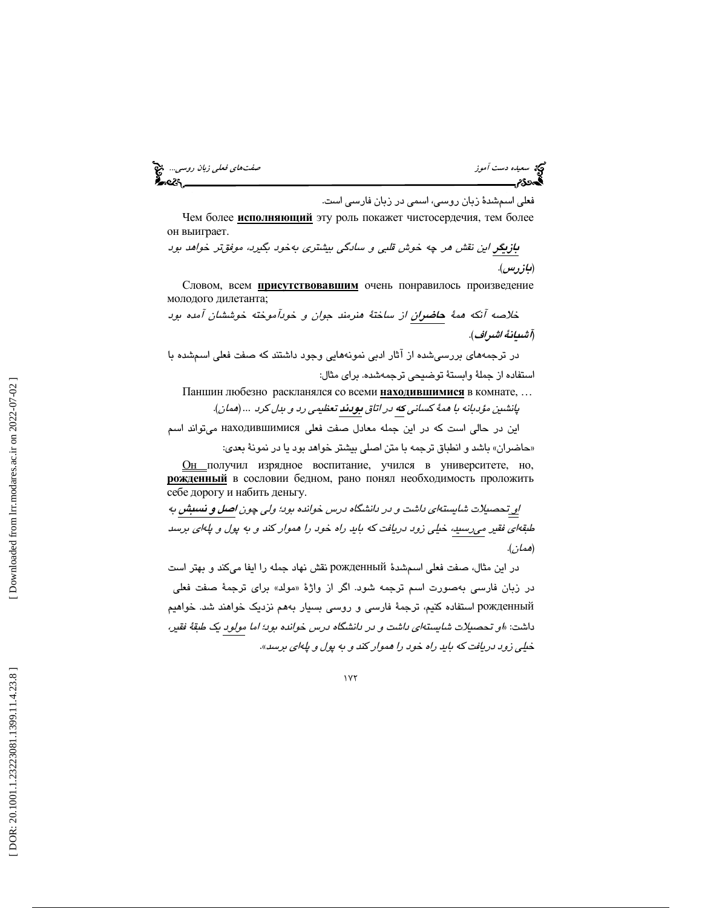سعيده دست آموز صفتهاي فعلي زبان روسي... المنطق المعلمة والتي تعلي زبان روسي... المنطق المعلمة والتي تعليم المع<br>المعدوى منطق المعلمة والتي تعليم المعلمة والتي تعليم المعلمة والتي تعليم المعلمة والتي تعليم المنطق المعلمة وا

فعلي اسمشدة زبان روسي، اسمي در زبان فارسي است.

Чем более исполняющий эту роль покажет чистосердечия, тем более он выиграет.

بازيگر اين نقش هر چه خوش قلبي و سادگي بيشتري بهخود بگيرد، موفق تر خواهد بود (بازرس .)

Словом, всем присутствовавшим очень понравилось произведение молодого дилетанта;

خلاصه آنكه همة حاضران از ساختة هنرمند جوان و خودآموخته خوششان آمده بود (آشيانة اشراف .)

در ترجمههاي بررسيشده از آثار ادبي نمونههايي وجود داشتند كه صفت فعلي اسمشده با استفاده از جملة وابستة توضيحي ترجمهشده. براي مثال:

Паншин любезно раскланялся со всеми <u>находившимися</u> в комнате, ...

پانشين مؤدبانه با همة كساني كه در اتاق بودند تعظيمي رد و بدل كرد *...* ( همان .)

اين در حالي است كه در اين جمله معادل صفت فعلي находившимися ميتواند اسم حاضران» باشد و انطباق ترجمه با متن اصلي بيشتر خواهد بود يا در نمونة بعدي: »

Он получил изрядное воспитание, учился в университете, но, рожденный в сословии бедном, рано понял необходимость проложить себе дорогу и набить деньгу.

او تحصيلات شايستهاي داشت و در دانشگاه درس خوانده بو د؛ ولي چون اصل و نسبش به طبقهاي فقير ميرسيد ، خيلي زود دريافت كه بايد راه خود را هموار كند و به پول و پلهاي برسد (همان .)

در اين مثال، صفت فعلي اسمشدة рожденный نقش نهاد جمله را ايفا ميكند و بهتر است در زبان فارسی بهصورت اسم ترجمه شود. اگر از واژهٔ «مولد» برای ترجمهٔ صفت فعلی рожденный استفاده كنيم، ترجمة فارسي و روسي بسيار بههم نزديك خواهند شد. خواهيم داشت: « او تحصيلات شايسته اي داشت و در دانشگاه درس خوانده بود؛ اما مولود يك طبقة فقير، خيلي زود دريافت كه بايد راه خود را هموار كند و به پول و پله اي برسد».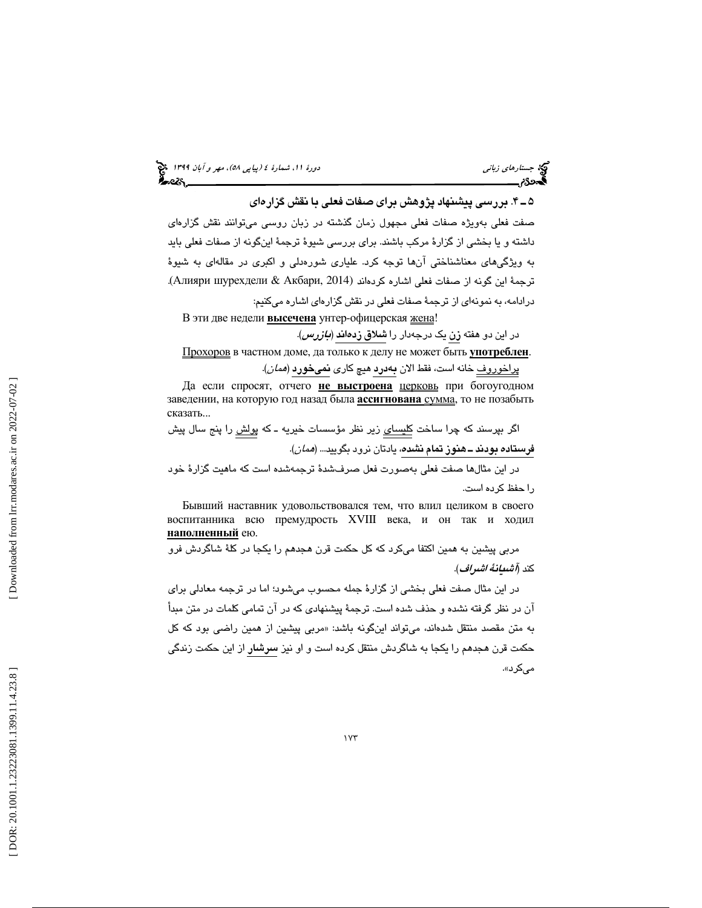(پياپي 58)، مهر و آبان 1399 جستارهاي زباني دورة ،11 شمارة 4

4.ـ 5 بررسي پيشنهاد پژوهش براي صفات فعلي با نقش گزارهاي

صفت فعلي بهويژه صفات فعلي مجهول زمان گذشته در زبان روسي ميتوانند نقش گزارهاي داشته و يا بخشي از گزارة مركب باشند . براي بررسي شيوة ترجمة اينگونه از صفات فعلي بايد به ويژگيهاي معناشناختي آنها توجه كرد. علياري شورهدلي و اكبري در مقالهاي به شيوة . ترجمة اين گونه از صفات فعلي اشاره كردهاند (2014 ,Акбари & шурехдели Алияри( درادامه، به نمونهاي از ترجمة صفات فعلي در نقش گزارهاي اشاره ميكنيم:

В эти две недели высечена унтер-офицерская <u>жена</u>!

در اين دو هفته زن يک درجهدار را **شلاق زد***ه***اند** (*بازرس)*.

<u>Прохоров</u> в частном доме, да только к делу не может быть **употреблен**.

<u>پراخوروف</u> خانه است، فقط الان **بهدرد ه**يچ كارى **نمىخورد** (*همان*).

Да если спросят, отчего не выстроена церковь при богоугодном заведении, на которую год назад была **ассигнована** сумма, то не позабыть сказать...

اگر بپرسند كه چرا ساخت <u>كليساى</u> زير نظر مؤسسات خيريه ـ كه پ<u>ولش</u> را پنج سال پيش **فرستاده بودند ــ هنوز تمام نشده،** يادتان نرود بگوييد... *(ممان)*.

در اين مثالها صفت فعلي بهصورت فعل صرفشدة ترجمهشده است كه ماهيت گزارة خود را حفظ كرده است.

Бывший наставник удовольствовался тем, что влил целиком в своего воспитанника всю премудрость XVIII века, и он так и ходил наполненный ею.

مربي پيشين به همين اكتفا ميكرد كه كل حكمت قرن هجدهم را يكجا در كلة شاگردش فرو كند (*آشيانة اشراف)*.

در اين مثال صفت فعلي بخشي از گزارة جمله محسوب ميشود؛ اما در ترجمه معادلي براي آن در نظر گرفته نشده و حذف شده است. ترجمة پيشنهادي كه در آن تمامي كلمات در متن مبدأ به متن مقصد منتقل شدهاند، ميتواند اينگونه باشد: «مربي پيشين از همين راضي بود كه كل حکمت قرن هجدهم را یکجا به شاگردش منتقل کرده است و او نیز **سرشار** از این حکمت زندگی م*ي ك*رد».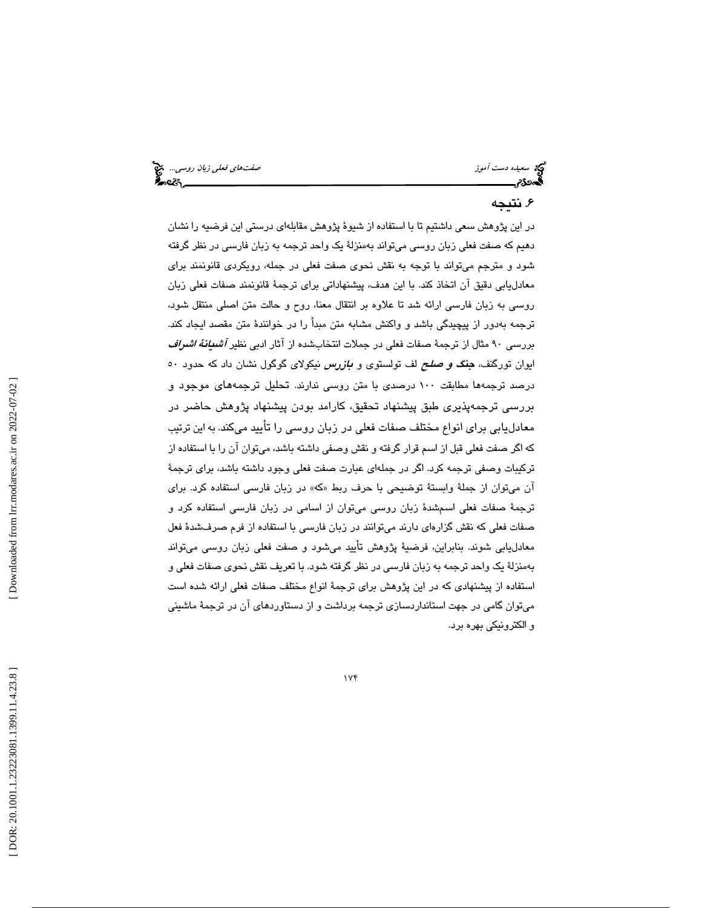سعيده دست آموز صفي المعلم المعلم المعلم في المعلم المعلم المعلم المعلم المعلم المعلم المعلم المعلم المعلم المع<br>المعاهدة من المعلم المعلم المعلم المعلم المعلم المعلم المعلم المعلم المعلم المعلم المعلم المعلم المعلم المعلم

#### 6. نتيجه

در اين پژوهش سعي داشتيم تا با استفاده از شيوة پژوهش مقابلهاي درستي اين فرضيه را نشان دهيم كه صفت فعلي زبان روسي ميتواند به منزلة يك واحد ترجمه به زبان فارسي در نظر گرفته شود و مترجم ميتواند با توجه به نقش نحوي صفت فعلي در جمله، رويكردي قانونمند براي معادليابي دقيق آن اتخاذ كند. با اين هدف، پيشنهاداتي براي ترجمة قانونمند صفات فعلي زبان روسي به زبان فارسي ارائه شد تا علاوه بر انتقال معنا، روح و حالت متن اصلي منتقل شود، ترجمه بهدور از پيچيدگي باشد و واكنش مشابه متن مبدأ را در خوانندة متن مقصد ايجاد كند. بررسي ٩٠ مثال از ترجمهٔ صفات فعلي در جملات انتخابشده از آثار ادبي نظير *آشدانهٔ اشراف* ايوان تورگنف، **جن***گ و صلح* **ل**ف تولستوي و *بازرس* نيكولاي گوگول نشان داد كه حدود ٥٠ درصد ترجمهها مطابقت ١٠٠ درصدی با متن روسی ندارند. تحلیل ترجمههای موجود و بررسی ترجمهپذیری طبق پیشنهاد تحقیق، كارامد بودن پیشنهاد پژوهش حاضر در معادليابي براي انواع مختلف صفات فعلي در زبان روسي را تأييد ميكند. به اين ترتيب كه اگر صفت فعلي قبل از اسم قرار گرفته و نقش وصفي داشته باشد، ميتوان آن را با استفاده از تركيبات وصفي ترجمه كرد. اگر در جمله اي عبارت صفت فعلي وجود داشته باشد، براي ترجمة آن ميتوان از جملة وابستة توضيحي با حرف ربط « »كه در زبان فارسي استفاده كرد. براي ترجمة صفات فعلي اسمشدة زبان روسي ميتوان از اسامي در زبان فارسي استفاده كرد و صفات فعلي كه نقش گزاره اي دارند ميتوانند در زبان فارسي با استفاده از فرم صرفشدة فعل معادليابي شوند. بنابراين، فرضية پژوهش تأييد ميشود و صفت فعلي زبان روسي ميتواند بهمنزلة يك واحد ترجمه به زبان فارسي در نظر گرفته شود. با تعريف نقش نحوي صفات فعلي و استفاده از پيشنهادي كه در اين پژوهش براي ترجمة انواع مختلف صفات فعلي ارائه شده است ميتوان گامي در جهت استانداردسازي ترجمه برداشت و از دستاوردهاي آن در ترجمة ماشيني و الكترونيكي بهره برد.

174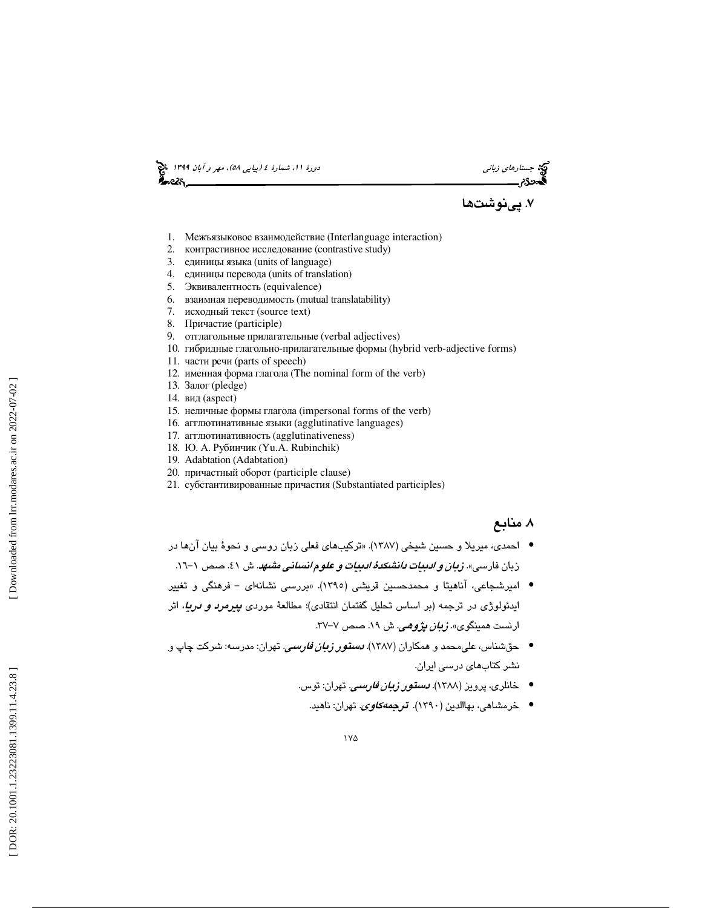د*ورۂ ۱۱، شمارۂ ٤ (پیاپی ٥٨)، مهر و آبان ۱۳۹۹* میچ<br>**گینچی تاب** 

كيخ جستار*هاي زباني*<br>ديمهي دورة مستس<u>مع</u>

۷. پینوشتها

- 1. Межъязыковое взаимодействие (Interlanguage interaction)
- 2. контрастивное исследование (contrastive study)
- 3. единицы языка (units of language)
- 4. единицы перевода (units of translation)
- 5. Эквивалентность (equivalence)
- 6. взаимная переводимость (mutual translatability)
- 7. исходный текст (source text)
- 8. Причастие (participle)
- 9. отглагольные прилагательные (verbal adjectives)
- 10. гибридные глагольно -прилагательные формы (hybrid verb-adjective forms)
- 11. части речи (parts of speech)
- 12. именная форма глагола (The nominal form of the verb)
- 13. Залог (pledge)
- 14. вид (aspect)
- 15. неличные формы глагола (impersonal forms of the verb)
- 16. агглютинативные языки (agglutinative languages)
- 17. агглютинативность (agglutinativeness)
- 18. Ю. А. Рубинчик (Yu.A. Rubinchik)
- 19. Adabtation (Adabtation)
- 20. причастный оборот (participle clause)
- 21. субстантивированные причастия (Substantiated participles)

#### . 8 منابع

- احمدي، ميريلا و حسين شيخي (1387). «تركيبهاي فعلي زبان روسي و نحوة بيان آنها در زبان فارسي». *زبان و ادبيات دانشكدهٔ ادبيات و علوم انساني مشهد.* ش ٤١. صص ١-١٦.
- امیرشجاعی، آناهیتا و محمدحسین قریشی (۱۳۹۰). «بررسی نشانهای فرهنگی و تغییر ايدئولوژي در ترجمه (بر اساس تحليل گفتمان انتقادي)؛ مطالعهٔ موردي *پيرمرد و دريا،* اثر ارنست همینگوی». *زبان پژوهي*. ش ۱۹. صص ۷–۳۷.
- حقشناس، علی،محمد و همکاران (۱۳۸۷). *دستور زبان فارسی.* تهران: مدرسه: شرکت چاپ و نشر كتابهاي درسي ايران.
	- خانلری، پرویز (۱۳۸۸). *دستور زبان فارسی.* تهران: توس.
		- خرمشاهي، بهاالدين (١٣٩٠). تر*جمهكاوي.* تهران: ناهيد.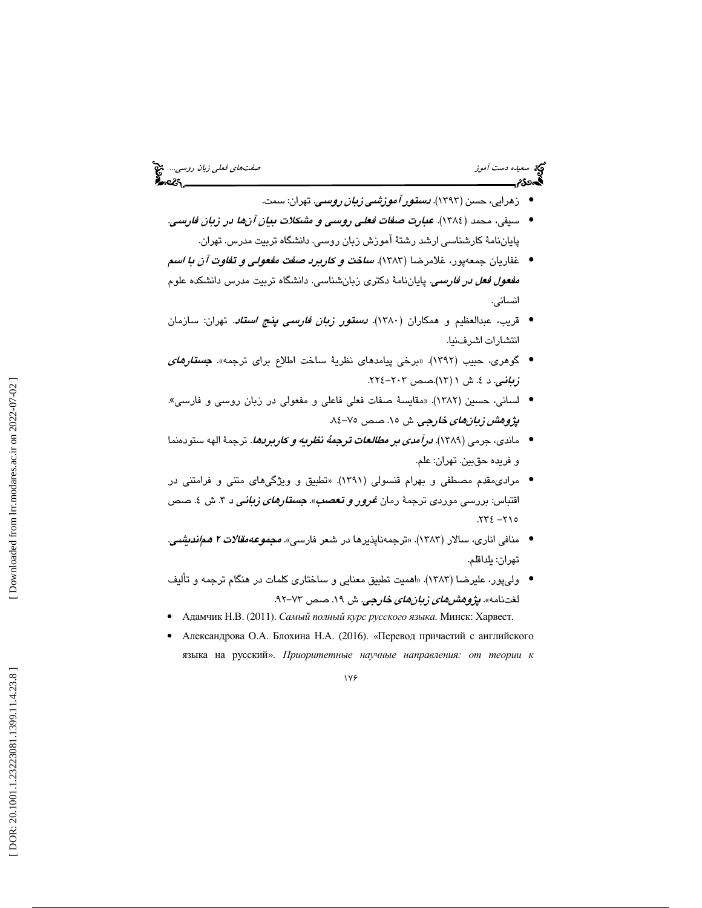# سعيده دست آموز صفتهاي فعلي زبان روسي...

- زهرايي، حسن (١٣٩٣). *دستور آموزشي زبان روسي*. تهران: سمت.
- سيفي، محمد (١٣٨٤). ع*بارت صفات فعلي روسي و مشكلات بيان آنها در زبان فارسي.* پاياننامة كارشناسي ارشد رشتة آموزش زبان روسي. دانشگاه تربيت مدرس. تهران.
- غفاريان جمعهپور، غلامرضا (1383). ساخت و كاربرد صفت مفعولي و تفاوت آن با اسم *مفعول فعل در فارسمي.* پاياننامهٔ دكترى زبانشناسي. دانشگاه تربيت مدرس دانشكده علوم انساني.
- قريب، عبدالعظيم و همكاران (١٣٨٠). *دستور زبان فارسي پنج استاد.* تهران: سازمان انتشارات اشرفنيا.
- گوهري، حبيب (١٣٩٢). «برخي پيامدهاي نظرية ساخت اطلاع براي ترجمه». *جستارهاي* . ز**بانـی**. د ٤. ش ۱ (۱۳).صص ۲۰۳-۲۲٤.
- لساني، حسين (1382). «مقايسة صفات فعلي فاعلي و مفعولي در زبان روسي و فارسي». پژوه*ش زبانهاي خارجي.* ش ۱۵. صص ۷۵-۸٤.
- ماندي، جرمي (١٣٨٩). ل*رآمدي بر مطالعات ترجمةُ نظريه و كاربردها*. ترجمةَ الهه ستودهنما و فريده حقبين. تهران: علم.
- مراديمقدم مصطفي و بهرام قنسولي (1391). «تطبيق و ويژگيهاي متني و فرامتني در اقتباس: بررسی موردی ترجمهٔ رمان *غرور و تعصب». جستار<i>های زبانی* د ۳. ش ٤. صص  $.772 - 710$
- منافي اناري، سالار (١٣٨٣). «ترجمهناپذيرها در شعر فارسي». *مجموعهمقالات ٢ همانديشي*. تهران: يلداقلم .
- وليپور، عليرضا (1383). «اهميت تطبيق معنايي و ساختاري كلمات در هنگام ترجمه و تأليف لغتنامه». *پژوهشهای زبانهای خارجی.* ش ۱۹. صص ۷۳–۹۲.
- Адамчик Н.В. (2011). Самый полный курс русского языка. Минск: Харвест.
- Александрова О.А. Блохина Н.А. (2016). «Перевод причастий с английского языка на русский». Приоритетные научные направления*:* от теории к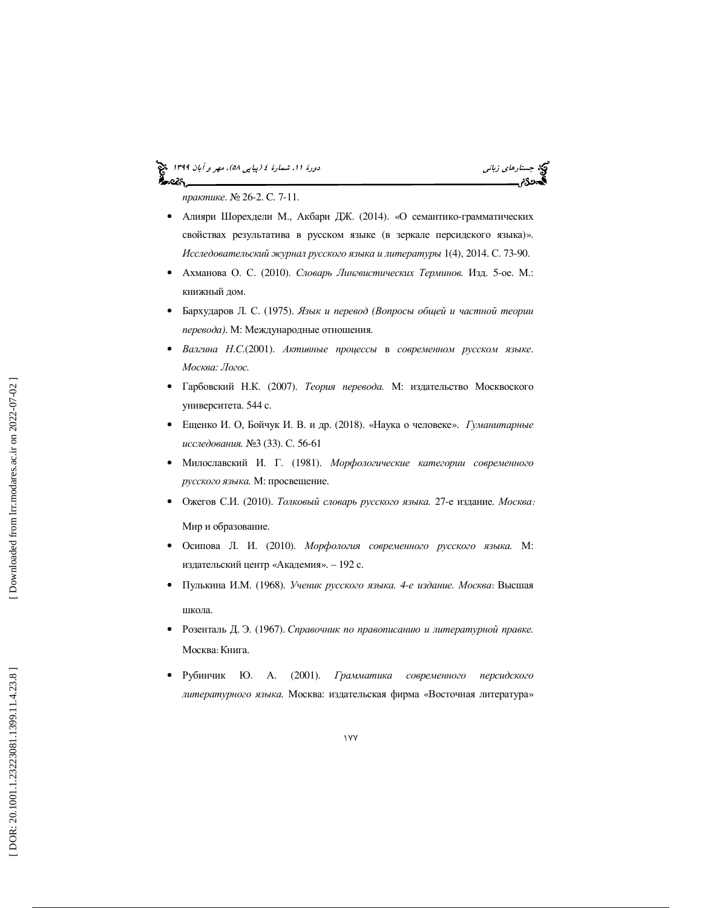# (پياپي 58)، مهر و آبان 1399 جستارهاي زباني دورة ،11 شمارة 4



практике. № 26-2. С. 7-11.

- Алияри Шорехдели М., Акбари ДЖ. (2014). « О семантико -грамматических свойствах результатива в русском языке ( в зеркале персидского языка)». Исследовательский журнал русского языка и литературы 1(4), 2014. С. 73-90.
- Ахманова О. С. (2010). Словарь Лингвистических Терминов. Изд. 5-ое. М.: книжный дом.
- Бархударов Л. С. (1975). Язык и перевод *(*Вопросы общей и частной теории перевода *)*. М: Международные отношения.
- Валгина Н. С.(2001). Активные процессы в современном русском языке. Москва*:* Логос *.*
- Гарбовский Н.К. (2007). *Теория перевода*. М: издательство Москвоского университета. 544 с.
- Ещенко И. О, Бойчук И. В. и др. (2018). «Наука о человеке».Гуманитарные исследования *.* №3 (33). С. 56-61
- Милославский И. Г. (1981). Морфологические категории современного русского языка *.* М: просвещение.
- Ожегов С.И. (2010). Толковый словарь русского языка. 27-е издание. Москва:

Мир и образование.

- Осипова Л. И. (2010). Морфология современного русского языка *.* М: издательский центр «Академия». – 192 с.
- Пулькина И.М. (1968). Ученик русского языка. 4-е издание. Москва: Высшая школа.
- Розенталь Д. Э. (1967). Справочник по правописанию и литературной правке. Москва : Книга .
- Рубинчик Ю. А. (2001). Грамматика современного персидского литературного языка *.* Москва: издательская фирма «Восточная литература»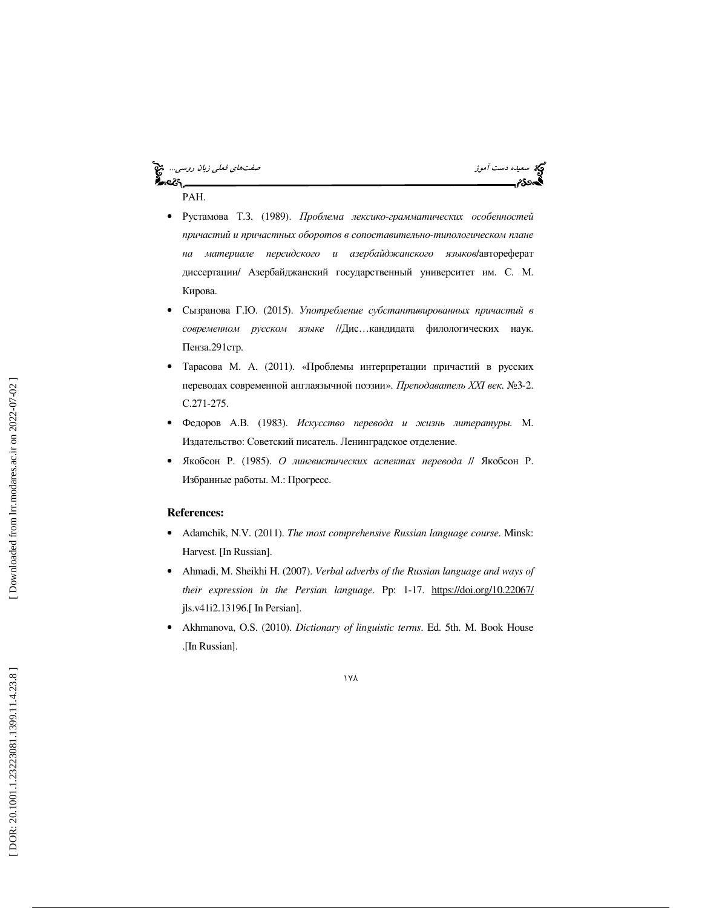سيده دست آموز صفتهاي فعلي ذبان روسي... المجموع الموسيق المعلم زبان روسي... المجموع المعلم زبان روسي... المجموع<br>وفعلي درجة<br>كالمدينة المعلمية ૡઽ РАН.

• Рустамова Т.З. (1989). Проблема лексико-грамматических особенностей причастий и причастных оборотов в сопоставительно *-*типологическом плане на материале персидского и азербайджанского языков/автореферат диссертации/ Азербайджанский государственный университет им. С. М. Кирова .

ಸಿಂಪ

- Сызранова Г.Ю. (2015). Употребление субстантивированных причастий в современном русском языке //Дис …кандидата филологических наук. Пенза.291стр.
- Тарасова М. А. (2011). «Проблемы интерпретации причастий в русских переводах современной англаязычной поэзии». Преподаватель ХХ*I* век. №3-2. С.271-275.
- Федоров А.В. (1983). Искусство перевода и жизнь литературы. М. Издательство: Советский писатель. Ленинградское отделение.
- Якобсон Р. (1985). О лингвистических аспектах перевода // Якобсон Р. Избранные работы. М.: Прогресс .

#### **References:**

- Adamchik, N.V. (2011). *The most comprehensive Russian language course*. Minsk: Harvest. [In Russian].
- Ahmadi, M. Sheikhi H. (2007). *Verbal adverbs of the Russian language and ways of their expression in the Persian language*. Pp: 1-17. https://doi.org/10.22067/ jls.v41i2.13196.[ In Persian].
- Akhmanova, O.S. (2010). *Dictionary of linguistic terms*. Ed. 5th. M. Book House .[In Russian].

178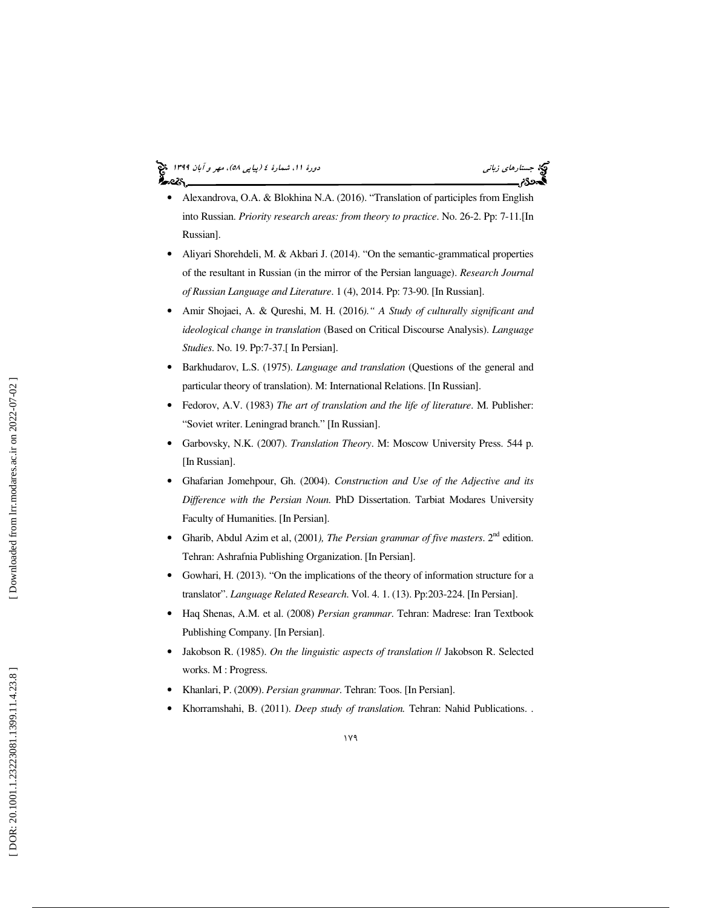# (پياپي 58)، مهر و آبان 1399 جستارهاي زباني دورة ،11 شمارة 4

- Alexandrova, O.A. & Blokhina N.A. (2016). "Translation of participles from English into Russian. *Priority research areas: from theory to practice*. No. 26-2. Pp: 7-11.[In Russian].
- Aliyari Shorehdeli, M. & Akbari J. (2014). "On the semantic-grammatical properties of the resultant in Russian (in the mirror of the Persian language). *Research Journal of Russian Language and Literature*. 1 (4), 2014. Pp: 73-90. [In Russian].
- Amir Shojaei, A. & Qureshi, M. H. (2016*)." A Study of culturally significant and ideological change in translation* (Based on Critical Discourse Analysis). *Language Studies*. No. 19. Pp:7-37.[ In Persian].
- Barkhudarov, L.S. (1975). *Language and translation* (Questions of the general and particular theory of translation). M: International Relations. [In Russian].
- Fedorov, A.V. (1983) *The art of translation and the life of literature*. M. Publisher: "Soviet writer. Leningrad branch." [In Russian].
- Garbovsky, N.K. (2007). *Translation Theory*. M: Moscow University Press. 544 p. [In Russian].
- Ghafarian Jomehpour, Gh. (2004). *Construction and Use of the Adjective and its Difference with the Persian Noun*. PhD Dissertation. Tarbiat Modares University Faculty of Humanities. [In Persian].
- Gharib, Abdul Azim et al,  $(2001)$ *, The Persian grammar of five masters*.  $2<sup>nd</sup>$  edition. Tehran: Ashrafnia Publishing Organization. [In Persian].
- Gowhari, H. (2013). "On the implications of the theory of information structure for a translator". *Language Related Research*. Vol. 4. 1. (13). Pp:203-224. [In Persian].
- Haq Shenas, A.M. et al. (2008) *Persian grammar*. Tehran: Madrese: Iran Textbook Publishing Company. [In Persian].
- Jakobson R. (1985). *On the linguistic aspects of translation* // Jakobson R. Selected works. M : Progress.
- Khanlari, P. (2009). *Persian grammar*. Tehran: Toos. [In Persian].
- Khorramshahi, B. (2011). *Deep study of translation.* Tehran: Nahid Publications. .

Downloaded from lrr.modares.ac.ir on 2022-07-02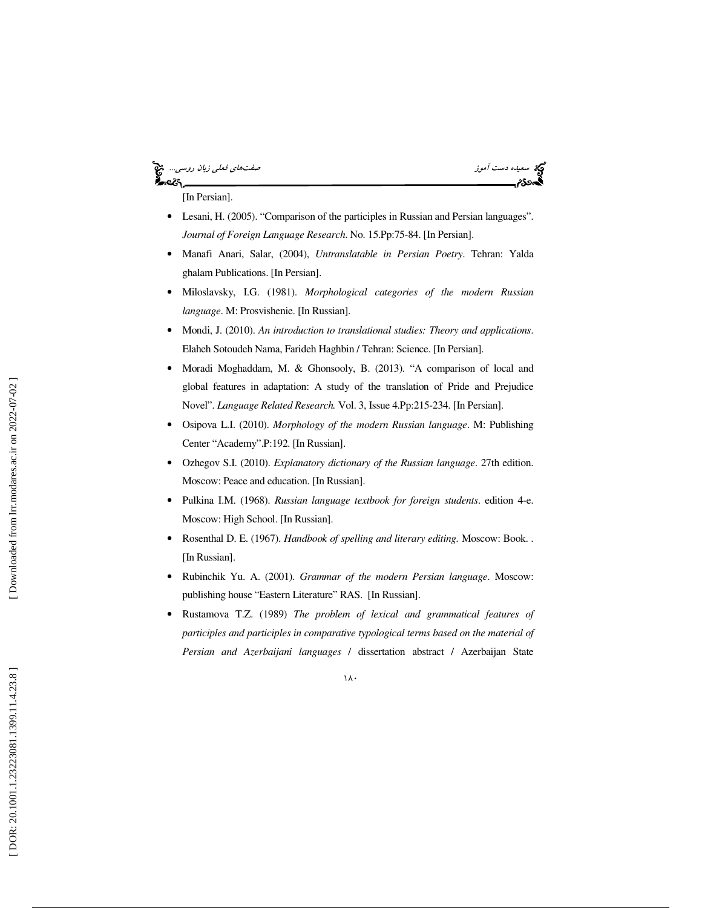#### سعيده دست آموز صفي بين المعلم المعلمات المعلمات المعلمات المعلمات المعلمات المعلمات المعلمات المعلمات المعلمات<br>المحدود علي المعلمات المعلمات المعلمات المعلمات المعلمات المعلمات المعلمات المعلمات المعلمات المعلمات المعلمات ∝ટ§.

[In Persian].

- Lesani, H. (2005). "Comparison of the participles in Russian and Persian languages". *Journal of Foreign Language Research*. No. 15.Pp:75-84. [In Persian].
- Manafi Anari, Salar, (2004), *Untranslatable in Persian Poetry*. Tehran: Yalda ghalam Publications. [In Persian].
- Miloslavsky, I.G. (1981). *Morphological categories of the modern Russian language*. M: Prosvishenie. [In Russian].
- Mondi, J. (2010). *An introduction to translational studies: Theory and applications*. Elaheh Sotoudeh Nama, Farideh Haghbin / Tehran: Science. [In Persian].
- Moradi Moghaddam, M. & Ghonsooly, B. (2013). "A comparison of local and global features in adaptation: A study of the translation of Pride and Prejudice Novel". *Language Related Research.* Vol. 3, Issue 4.Pp:215-234. [In Persian].
- Osipova L.I. (2010). *Morphology of the modern Russian language*. M: Publishing Center "Academy".P:192. [In Russian].
- Ozhegov S.I. (2010). *Explanatory dictionary of the Russian language*. 27th edition. Moscow: Peace and education. [In Russian].
- Pulkina I.M. (1968). *Russian language textbook for foreign students*. edition 4-e. Moscow: High School. [In Russian].
- Rosenthal D. E. (1967). *Handbook of spelling and literary editing.* Moscow: Book. . [In Russian].
- Rubinchik Yu. A. (2001). *Grammar of the modern Persian language*. Moscow: publishing house "Eastern Literature" RAS. [In Russian].
- Rustamova T.Z. (1989) *The problem of lexical and grammatical features of participles and participles in comparative typological terms based on the material of Persian and Azerbaijani languages* / dissertation abstract / Azerbaijan State